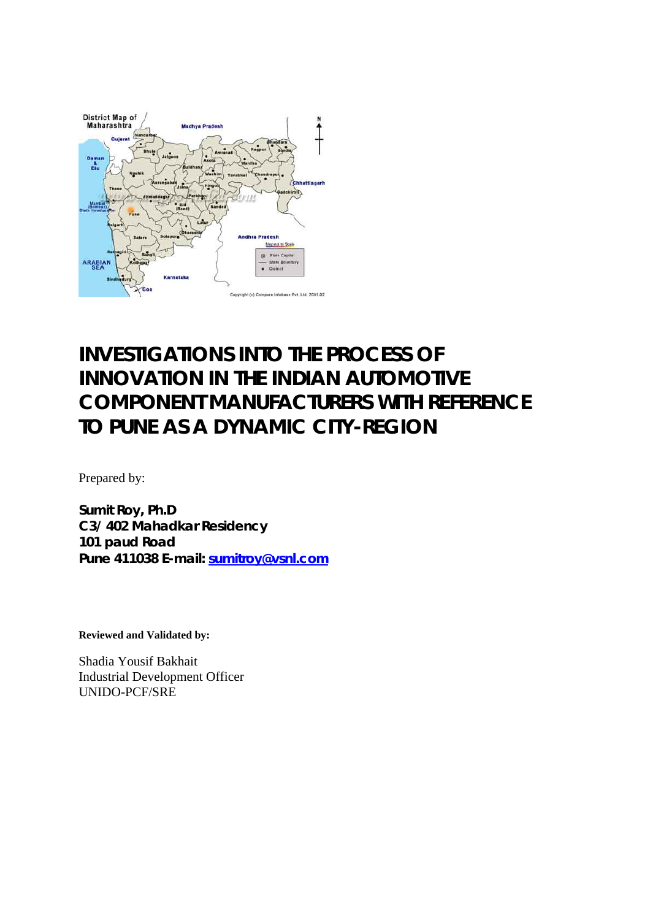

# **INVESTIGATIONS INTO THE PROCESS OF INNOVATION IN THE INDIAN AUTOMOTIVE COMPONENT MANUFACTURERS WITH REFERENCE TO PUNE AS A DYNAMIC CITY-REGION**

Prepared by:

**Sumit Roy, Ph.D C3/ 402 Mahadkar Residency 101 paud Road Pune 411038 E-mail: sumitroy@vsnl.com**

**Reviewed and Validated by:** 

Shadia Yousif Bakhait Industrial Development Officer UNIDO-PCF/SRE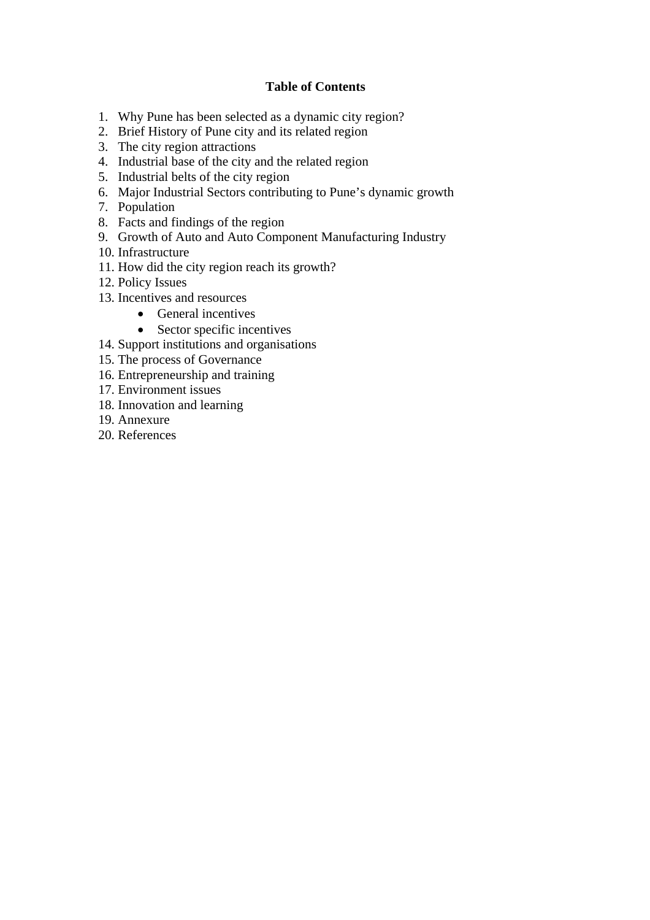#### **Table of Contents**

- 1. Why Pune has been selected as a dynamic city region?
- 2. Brief History of Pune city and its related region
- 3. The city region attractions
- 4. Industrial base of the city and the related region
- 5. Industrial belts of the city region
- 6. Major Industrial Sectors contributing to Pune's dynamic growth
- 7. Population
- 8. Facts and findings of the region
- 9. Growth of Auto and Auto Component Manufacturing Industry
- 10. Infrastructure
- 11. How did the city region reach its growth?
- 12. Policy Issues
- 13. Incentives and resources
	- General incentives
	- Sector specific incentives
- 14. Support institutions and organisations
- 15. The process of Governance
- 16. Entrepreneurship and training
- 17. Environment issues
- 18. Innovation and learning
- 19. Annexure
- 20. References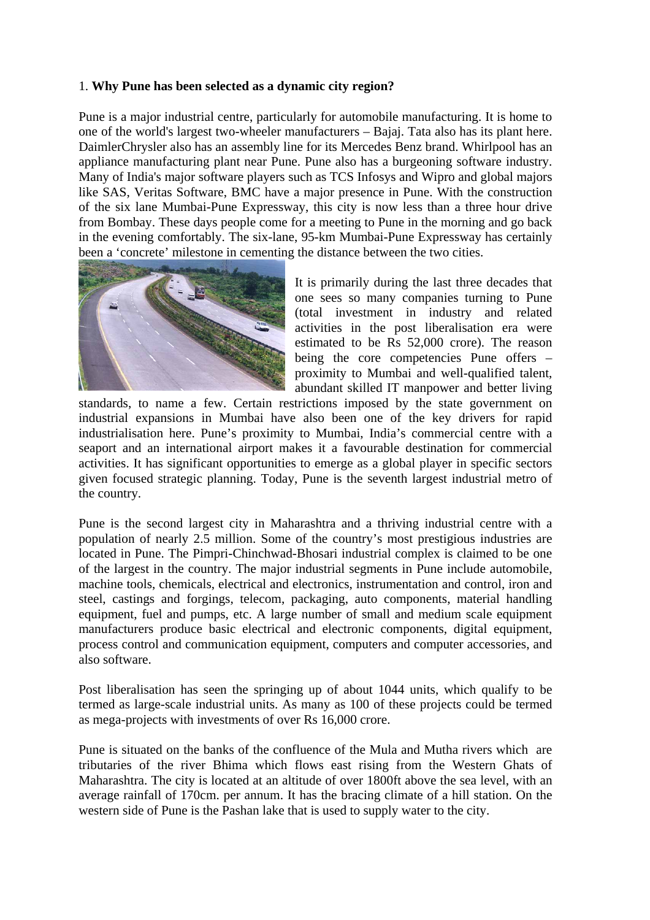#### 1. **Why Pune has been selected as a dynamic city region?**

Pune is a major industrial centre, particularly for automobile manufacturing. It is home to one of the world's largest two-wheeler manufacturers – Bajaj. Tata also has its plant here. DaimlerChrysler also has an assembly line for its Mercedes Benz brand. Whirlpool has an appliance manufacturing plant near Pune. Pune also has a burgeoning software industry. Many of India's major software players such as TCS Infosys and Wipro and global majors like SAS, Veritas Software, BMC have a major presence in Pune. With the construction of the six lane Mumbai-Pune Expressway, this city is now less than a three hour drive from Bombay. These days people come for a meeting to Pune in the morning and go back in the evening comfortably. The six-lane, 95-km Mumbai-Pune Expressway has certainly been a 'concrete' milestone in cementing the distance between the two cities.



It is primarily during the last three decades that one sees so many companies turning to Pune (total investment in industry and related activities in the post liberalisation era were estimated to be Rs 52,000 crore). The reason being the core competencies Pune offers – proximity to Mumbai and well-qualified talent, abundant skilled IT manpower and better living

standards, to name a few. Certain restrictions imposed by the state government on industrial expansions in Mumbai have also been one of the key drivers for rapid industrialisation here. Pune's proximity to Mumbai, India's commercial centre with a seaport and an international airport makes it a favourable destination for commercial activities. It has significant opportunities to emerge as a global player in specific sectors given focused strategic planning. Today, Pune is the seventh largest industrial metro of the country.

Pune is the second largest city in Maharashtra and a thriving industrial centre with a population of nearly 2.5 million. Some of the country's most prestigious industries are located in Pune. The Pimpri-Chinchwad-Bhosari industrial complex is claimed to be one of the largest in the country. The major industrial segments in Pune include automobile, machine tools, chemicals, electrical and electronics, instrumentation and control, iron and steel, castings and forgings, telecom, packaging, auto components, material handling equipment, fuel and pumps, etc. A large number of small and medium scale equipment manufacturers produce basic electrical and electronic components, digital equipment, process control and communication equipment, computers and computer accessories, and also software.

Post liberalisation has seen the springing up of about 1044 units, which qualify to be termed as large-scale industrial units. As many as 100 of these projects could be termed as mega-projects with investments of over Rs 16,000 crore.

Pune is situated on the banks of the confluence of the Mula and Mutha rivers which are tributaries of the river Bhima which flows east rising from the Western Ghats of Maharashtra. The city is located at an altitude of over 1800ft above the sea level, with an average rainfall of 170cm. per annum. It has the bracing climate of a hill station. On the western side of Pune is the Pashan lake that is used to supply water to the city.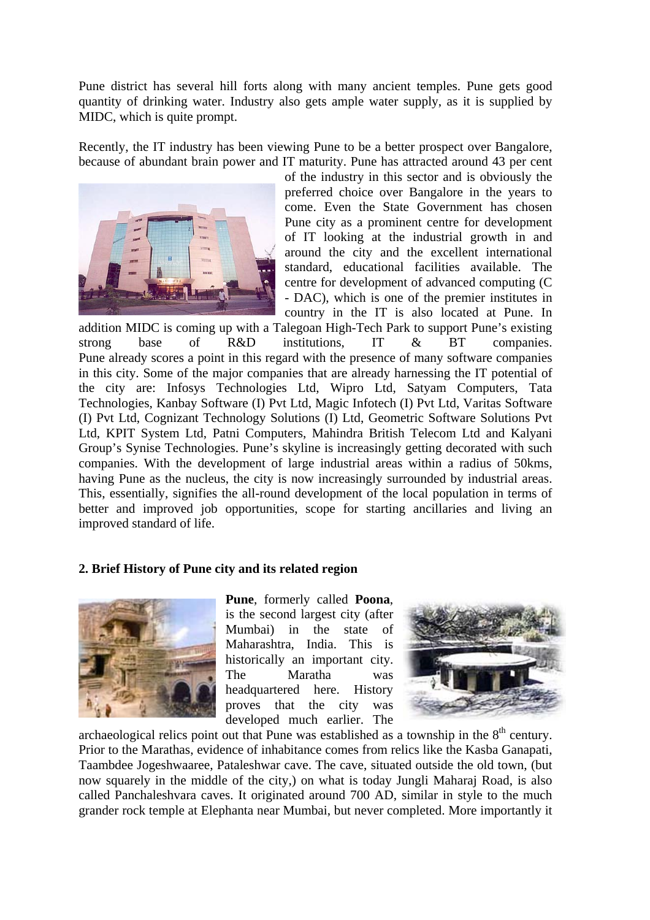Pune district has several hill forts along with many ancient temples. Pune gets good quantity of drinking water. Industry also gets ample water supply, as it is supplied by MIDC, which is quite prompt.

Recently, the IT industry has been viewing Pune to be a better prospect over Bangalore, because of abundant brain power and IT maturity. Pune has attracted around 43 per cent



of the industry in this sector and is obviously the preferred choice over Bangalore in the years to come. Even the State Government has chosen Pune city as a prominent centre for development of IT looking at the industrial growth in and around the city and the excellent international standard, educational facilities available. The centre for development of advanced computing (C - DAC), which is one of the premier institutes in country in the IT is also located at Pune. In

addition MIDC is coming up with a Talegoan High-Tech Park to support Pune's existing strong base of R&D institutions, IT & BT companies. Pune already scores a point in this regard with the presence of many software companies in this city. Some of the major companies that are already harnessing the IT potential of the city are: Infosys Technologies Ltd, Wipro Ltd, Satyam Computers, Tata Technologies, Kanbay Software (I) Pvt Ltd, Magic Infotech (I) Pvt Ltd, Varitas Software (I) Pvt Ltd, Cognizant Technology Solutions (I) Ltd, Geometric Software Solutions Pvt Ltd, KPIT System Ltd, Patni Computers, Mahindra British Telecom Ltd and Kalyani Group's Synise Technologies. Pune's skyline is increasingly getting decorated with such companies. With the development of large industrial areas within a radius of 50kms, having Pune as the nucleus, the city is now increasingly surrounded by industrial areas. This, essentially, signifies the all-round development of the local population in terms of better and improved job opportunities, scope for starting ancillaries and living an improved standard of life.

#### **2. Brief History of Pune city and its related region**



**Pune**, formerly called **Poona**, is the second largest city (after Mumbai) in the state of Maharashtra, India. This is historically an important city. The Maratha was headquartered here. History proves that the city was developed much earlier. The



archaeological relics point out that Pune was established as a township in the  $8<sup>th</sup>$  century. Prior to the Marathas, evidence of inhabitance comes from relics like the Kasba Ganapati, Taambdee Jogeshwaaree, Pataleshwar cave. The cave, situated outside the old town, (but now squarely in the middle of the city,) on what is today Jungli Maharaj Road, is also called Panchaleshvara caves. It originated around 700 AD, similar in style to the much grander rock temple at Elephanta near Mumbai, but never completed. More importantly it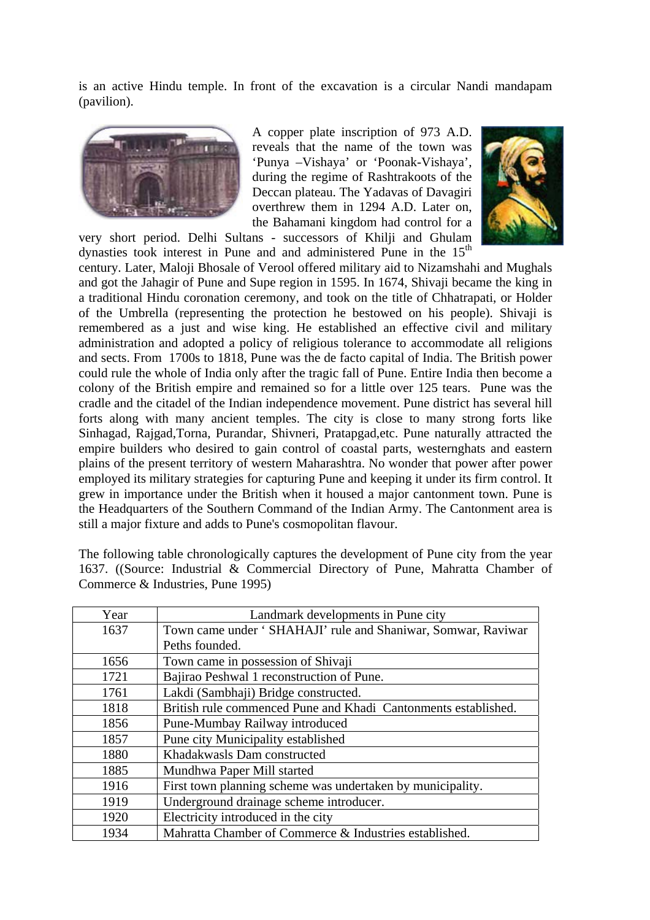is an active Hindu temple. In front of the excavation is a circular Nandi mandapam (pavilion).



A copper plate inscription of 973 A.D. reveals that the name of the town was 'Punya –Vishaya' or 'Poonak-Vishaya', during the regime of Rashtrakoots of the Deccan plateau. The Yadavas of Davagiri overthrew them in 1294 A.D. Later on, the Bahamani kingdom had control for a

very short period. Delhi Sultans - successors of Khilji and Ghulam dynasties took interest in Pune and and administered Pune in the  $15<sup>th</sup>$ 



century. Later, Maloji Bhosale of Verool offered military aid to Nizamshahi and Mughals and got the Jahagir of Pune and Supe region in 1595. In 1674, Shivaji became the king in a traditional Hindu coronation ceremony, and took on the title of Chhatrapati, or Holder of the Umbrella (representing the protection he bestowed on his people). Shivaji is remembered as a just and wise king. He established an effective civil and military administration and adopted a policy of religious tolerance to accommodate all religions and sects. From 1700s to 1818, Pune was the de facto capital of India. The British power could rule the whole of India only after the tragic fall of Pune. Entire India then become a colony of the British empire and remained so for a little over 125 tears. Pune was the cradle and the citadel of the Indian independence movement. Pune district has several hill forts along with many ancient temples. The city is close to many strong forts like Sinhagad, Rajgad,Torna, Purandar, Shivneri, Pratapgad,etc. Pune naturally attracted the empire builders who desired to gain control of coastal parts, westernghats and eastern plains of the present territory of western Maharashtra. No wonder that power after power employed its military strategies for capturing Pune and keeping it under its firm control. It grew in importance under the British when it housed a major cantonment town. Pune is the Headquarters of the Southern Command of the Indian Army. The Cantonment area is still a major fixture and adds to Pune's cosmopolitan flavour.

The following table chronologically captures the development of Pune city from the year 1637. ((Source: Industrial & Commercial Directory of Pune, Mahratta Chamber of Commerce & Industries, Pune 1995)

| Year | Landmark developments in Pune city                             |
|------|----------------------------------------------------------------|
| 1637 | Town came under ' SHAHAJI' rule and Shaniwar, Somwar, Raviwar  |
|      | Peths founded.                                                 |
| 1656 | Town came in possession of Shivaji                             |
| 1721 | Bajirao Peshwal 1 reconstruction of Pune.                      |
| 1761 | Lakdi (Sambhaji) Bridge constructed.                           |
| 1818 | British rule commenced Pune and Khadi Cantonments established. |
| 1856 | Pune-Mumbay Railway introduced                                 |
| 1857 | Pune city Municipality established                             |
| 1880 | Khadakwasls Dam constructed                                    |
| 1885 | Mundhwa Paper Mill started                                     |
| 1916 | First town planning scheme was undertaken by municipality.     |
| 1919 | Underground drainage scheme introducer.                        |
| 1920 | Electricity introduced in the city                             |
| 1934 | Mahratta Chamber of Commerce & Industries established.         |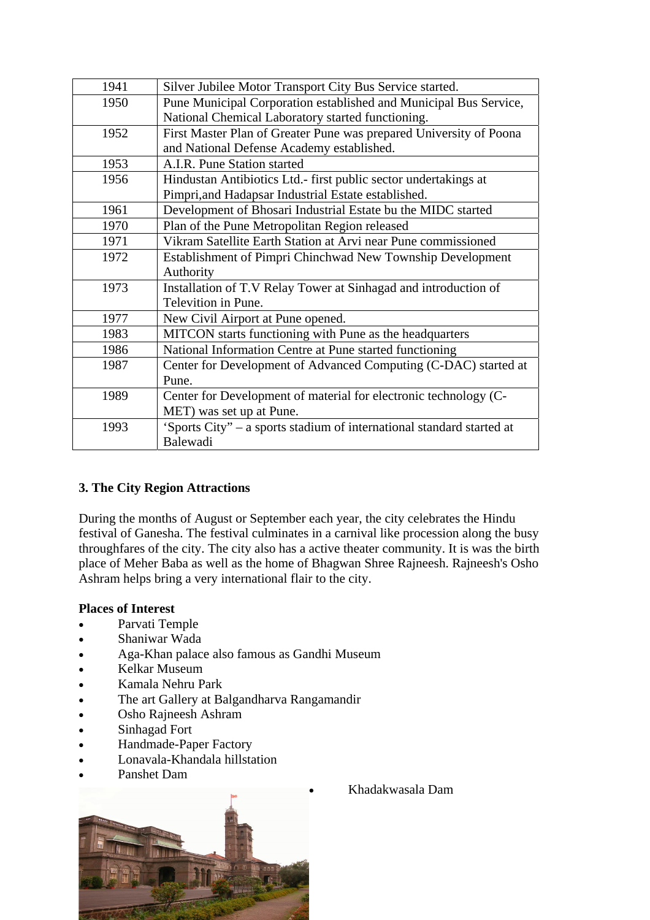| 1941 | Silver Jubilee Motor Transport City Bus Service started.              |
|------|-----------------------------------------------------------------------|
| 1950 | Pune Municipal Corporation established and Municipal Bus Service,     |
|      | National Chemical Laboratory started functioning.                     |
| 1952 | First Master Plan of Greater Pune was prepared University of Poona    |
|      | and National Defense Academy established.                             |
| 1953 | A.I.R. Pune Station started                                           |
| 1956 | Hindustan Antibiotics Ltd.- first public sector undertakings at       |
|      | Pimpri, and Hadapsar Industrial Estate established.                   |
| 1961 | Development of Bhosari Industrial Estate bu the MIDC started          |
| 1970 | Plan of the Pune Metropolitan Region released                         |
| 1971 | Vikram Satellite Earth Station at Arvi near Pune commissioned         |
| 1972 | Establishment of Pimpri Chinchwad New Township Development            |
|      | Authority                                                             |
| 1973 | Installation of T.V Relay Tower at Sinhagad and introduction of       |
|      | Televition in Pune.                                                   |
| 1977 | New Civil Airport at Pune opened.                                     |
| 1983 | MITCON starts functioning with Pune as the headquarters               |
| 1986 | National Information Centre at Pune started functioning               |
| 1987 | Center for Development of Advanced Computing (C-DAC) started at       |
|      | Pune.                                                                 |
| 1989 | Center for Development of material for electronic technology (C-      |
|      | MET) was set up at Pune.                                              |
| 1993 | 'Sports City" - a sports stadium of international standard started at |
|      | Balewadi                                                              |

### **3. The City Region Attractions**

During the months of August or September each year, the city celebrates the Hindu festival of Ganesha. The festival culminates in a carnival like procession along the busy throughfares of the city. The city also has a active theater community. It is was the birth place of Meher Baba as well as the home of Bhagwan Shree Rajneesh. Rajneesh's Osho Ashram helps bring a very international flair to the city.

### **Places of Interest**

- Parvati Temple
- Shaniwar Wada
- Aga-Khan palace also famous as Gandhi Museum
- Kelkar Museum
- Kamala Nehru Park
- The art Gallery at Balgandharva Rangamandir
- Osho Rajneesh Ashram
- Sinhagad Fort
- Handmade-Paper Factory
- Lonavala-Khandala hillstation
- Panshet Dam



• Khadakwasala Dam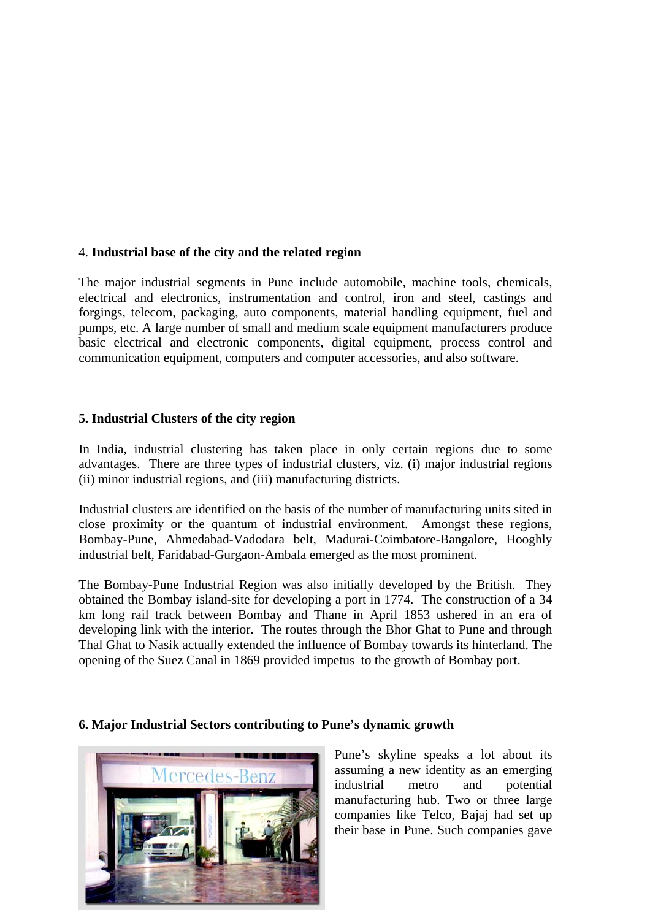#### 4. **Industrial base of the city and the related region**

The major industrial segments in Pune include automobile, machine tools, chemicals, electrical and electronics, instrumentation and control, iron and steel, castings and forgings, telecom, packaging, auto components, material handling equipment, fuel and pumps, etc. A large number of small and medium scale equipment manufacturers produce basic electrical and electronic components, digital equipment, process control and communication equipment, computers and computer accessories, and also software.

#### **5. Industrial Clusters of the city region**

In India, industrial clustering has taken place in only certain regions due to some advantages. There are three types of industrial clusters, viz. (i) major industrial regions (ii) minor industrial regions, and (iii) manufacturing districts.

Industrial clusters are identified on the basis of the number of manufacturing units sited in close proximity or the quantum of industrial environment. Amongst these regions, Bombay-Pune, Ahmedabad-Vadodara belt, Madurai-Coimbatore-Bangalore, Hooghly industrial belt, Faridabad-Gurgaon-Ambala emerged as the most prominent.

The Bombay-Pune Industrial Region was also initially developed by the British. They obtained the Bombay island-site for developing a port in 1774. The construction of a 34 km long rail track between Bombay and Thane in April 1853 ushered in an era of developing link with the interior. The routes through the Bhor Ghat to Pune and through Thal Ghat to Nasik actually extended the influence of Bombay towards its hinterland. The opening of the Suez Canal in 1869 provided impetus to the growth of Bombay port.

#### **6. Major Industrial Sectors contributing to Pune's dynamic growth**



Pune's skyline speaks a lot about its assuming a new identity as an emerging industrial metro and potential manufacturing hub. Two or three large companies like Telco, Bajaj had set up their base in Pune. Such companies gave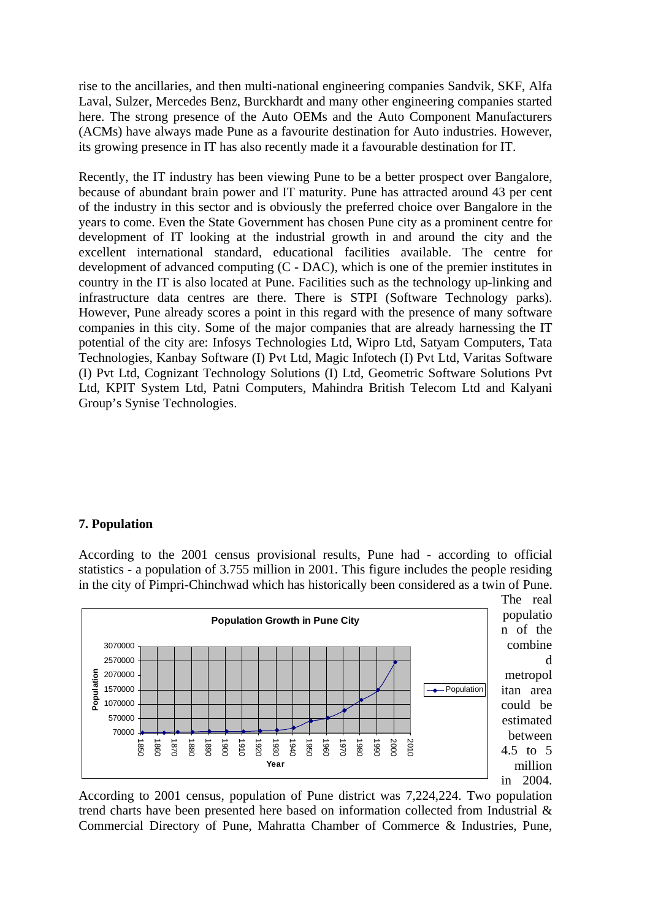rise to the ancillaries, and then multi-national engineering companies Sandvik, SKF, Alfa Laval, Sulzer, Mercedes Benz, Burckhardt and many other engineering companies started here. The strong presence of the Auto OEMs and the Auto Component Manufacturers (ACMs) have always made Pune as a favourite destination for Auto industries. However, its growing presence in IT has also recently made it a favourable destination for IT.

Recently, the IT industry has been viewing Pune to be a better prospect over Bangalore, because of abundant brain power and IT maturity. Pune has attracted around 43 per cent of the industry in this sector and is obviously the preferred choice over Bangalore in the years to come. Even the State Government has chosen Pune city as a prominent centre for development of IT looking at the industrial growth in and around the city and the excellent international standard, educational facilities available. The centre for development of advanced computing (C - DAC), which is one of the premier institutes in country in the IT is also located at Pune. Facilities such as the technology up-linking and infrastructure data centres are there. There is STPI (Software Technology parks). However, Pune already scores a point in this regard with the presence of many software companies in this city. Some of the major companies that are already harnessing the IT potential of the city are: Infosys Technologies Ltd, Wipro Ltd, Satyam Computers, Tata Technologies, Kanbay Software (I) Pvt Ltd, Magic Infotech (I) Pvt Ltd, Varitas Software (I) Pvt Ltd, Cognizant Technology Solutions (I) Ltd, Geometric Software Solutions Pvt Ltd, KPIT System Ltd, Patni Computers, Mahindra British Telecom Ltd and Kalyani Group's Synise Technologies.

#### **7. Population**

According to the 2001 census provisional results, Pune had - according to official statistics - a population of 3.755 million in 2001. This figure includes the people residing in the city of Pimpri-Chinchwad which has historically been considered as a twin of Pune.



d

According to 2001 census, population of Pune district was 7,224,224. Two population trend charts have been presented here based on information collected from Industrial & Commercial Directory of Pune, Mahratta Chamber of Commerce & Industries, Pune,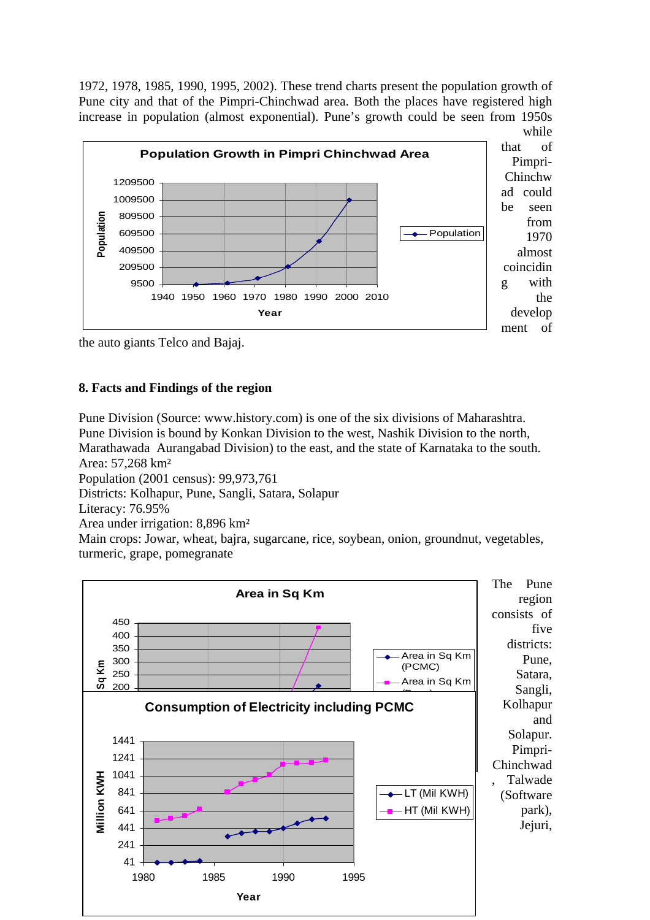1972, 1978, 1985, 1990, 1995, 2002). These trend charts present the population growth of Pune city and that of the Pimpri-Chinchwad area. Both the places have registered high increase in population (almost exponential). Pune's growth could be seen from 1950s



the auto giants Telco and Bajaj.

# **8. Facts and Findings of the region**

Pune Division (Source: www.history.com) is one of the six divisions of Maharashtra. Pune Division is bound by Konkan Division to the west, Nashik Division to the north, Marathawada Aurangabad Division) to the east, and the state of Karnataka to the south. Area: 57,268 km² Population (2001 census): 99,973,761 Districts: Kolhapur, Pune, Sangli, Satara, Solapur Literacy: 76.95% Area under irrigation: 8,896 km² Main crops: Jowar, wheat, bajra, sugarcane, rice, soybean, onion, groundnut, vegetables, turmeric, grape, pomegranate

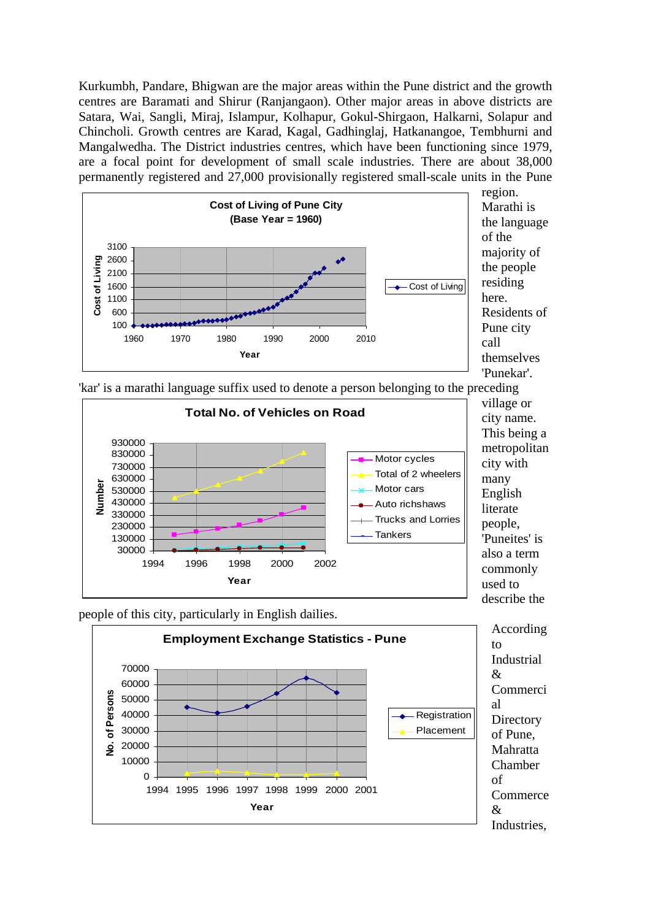Kurkumbh, Pandare, Bhigwan are the major areas within the Pune district and the growth centres are Baramati and Shirur (Ranjangaon). Other major areas in above districts are Satara, Wai, Sangli, Miraj, Islampur, Kolhapur, Gokul-Shirgaon, Halkarni, Solapur and Chincholi. Growth centres are Karad, Kagal, Gadhinglaj, Hatkanangoe, Tembhurni and Mangalwedha. The District industries centres, which have been functioning since 1979, are a focal point for development of small scale industries. There are about 38,000 permanently registered and 27,000 provisionally registered small-scale units in the Pune



region. Marathi is the language of the majority of the people residing here. Residents of Pune city call themselves 'Punekar'.

'kar' is a marathi language suffix used to denote a person belonging to the preceding



village or city name. This being a metropolitan city with many English literate people, 'Puneites' is also a term commonly used to describe the

people of this city, particularly in English dailies.



According Industrial Commerci **Directory** of Pune, Mahratta Chamber **Commerce**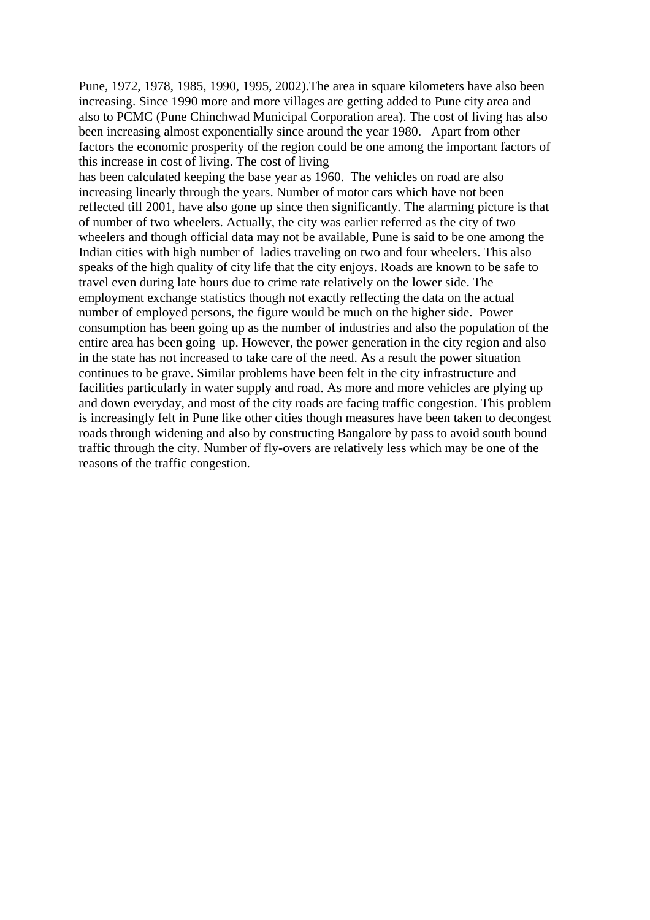Pune, 1972, 1978, 1985, 1990, 1995, 2002).The area in square kilometers have also been increasing. Since 1990 more and more villages are getting added to Pune city area and also to PCMC (Pune Chinchwad Municipal Corporation area). The cost of living has also been increasing almost exponentially since around the year 1980. Apart from other factors the economic prosperity of the region could be one among the important factors of this increase in cost of living. The cost of living

has been calculated keeping the base year as 1960. The vehicles on road are also increasing linearly through the years. Number of motor cars which have not been reflected till 2001, have also gone up since then significantly. The alarming picture is that of number of two wheelers. Actually, the city was earlier referred as the city of two wheelers and though official data may not be available, Pune is said to be one among the Indian cities with high number of ladies traveling on two and four wheelers. This also speaks of the high quality of city life that the city enjoys. Roads are known to be safe to travel even during late hours due to crime rate relatively on the lower side. The employment exchange statistics though not exactly reflecting the data on the actual number of employed persons, the figure would be much on the higher side. Power consumption has been going up as the number of industries and also the population of the entire area has been going up. However, the power generation in the city region and also in the state has not increased to take care of the need. As a result the power situation continues to be grave. Similar problems have been felt in the city infrastructure and facilities particularly in water supply and road. As more and more vehicles are plying up and down everyday, and most of the city roads are facing traffic congestion. This problem is increasingly felt in Pune like other cities though measures have been taken to decongest roads through widening and also by constructing Bangalore by pass to avoid south bound traffic through the city. Number of fly-overs are relatively less which may be one of the reasons of the traffic congestion.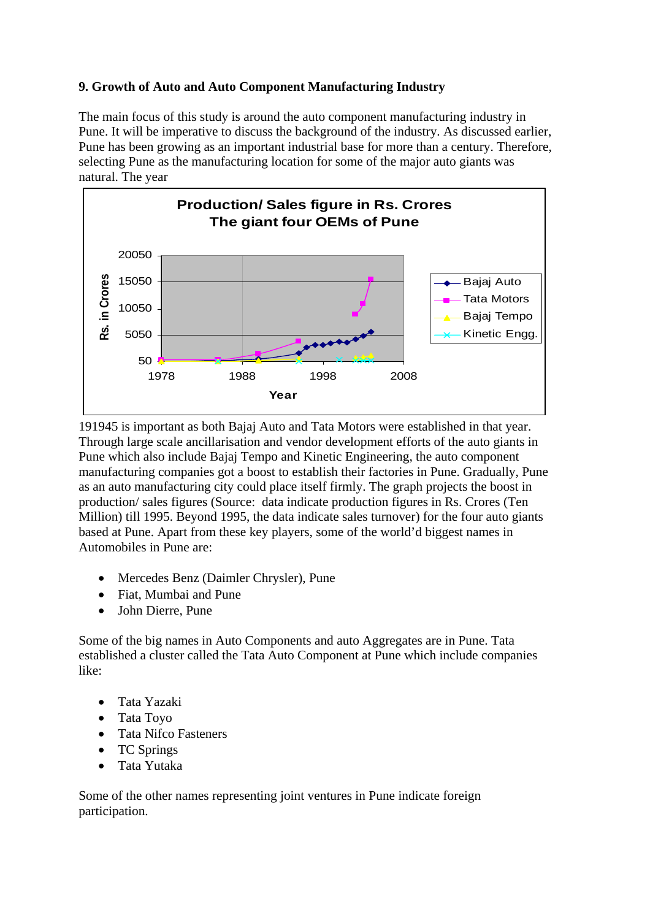# **9. Growth of Auto and Auto Component Manufacturing Industry**

The main focus of this study is around the auto component manufacturing industry in Pune. It will be imperative to discuss the background of the industry. As discussed earlier, Pune has been growing as an important industrial base for more than a century. Therefore, selecting Pune as the manufacturing location for some of the major auto giants was natural. The year



191945 is important as both Bajaj Auto and Tata Motors were established in that year. Through large scale ancillarisation and vendor development efforts of the auto giants in Pune which also include Bajaj Tempo and Kinetic Engineering, the auto component manufacturing companies got a boost to establish their factories in Pune. Gradually, Pune as an auto manufacturing city could place itself firmly. The graph projects the boost in production/ sales figures (Source: data indicate production figures in Rs. Crores (Ten Million) till 1995. Beyond 1995, the data indicate sales turnover) for the four auto giants based at Pune. Apart from these key players, some of the world'd biggest names in Automobiles in Pune are:

- Mercedes Benz (Daimler Chrysler), Pune
- Fiat, Mumbai and Pune
- John Dierre, Pune

Some of the big names in Auto Components and auto Aggregates are in Pune. Tata established a cluster called the Tata Auto Component at Pune which include companies like:

- Tata Yazaki
- Tata Toyo
- Tata Nifco Fasteners
- TC Springs
- Tata Yutaka

Some of the other names representing joint ventures in Pune indicate foreign participation.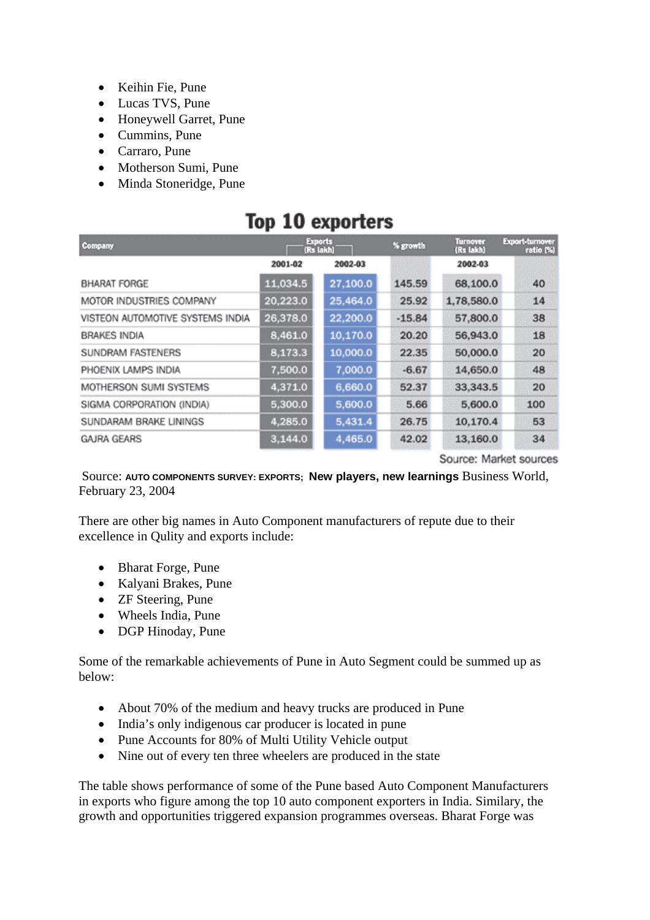- Keihin Fie, Pune
- Lucas TVS, Pune
- Honeywell Garret, Pune
- Cummins, Pune
- Carraro, Pune
- Motherson Sumi, Pune
- Minda Stoneridge, Pune

# Top 10 exporters

| Company                          | <b>Exports</b><br>(Rs lakh) |          | % growth | Turnover<br>(Rs lakh) | Export-turnover<br>ratio (%) |  |
|----------------------------------|-----------------------------|----------|----------|-----------------------|------------------------------|--|
|                                  | 2001-02                     | 2002-03  |          | 2002-03               |                              |  |
| <b>BHARAT FORGE</b>              | 11,034.5                    | 27,100.0 | 145.59   | 68,100.0              | 40                           |  |
| MOTOR INDUSTRIES COMPANY         | 20,223.0                    | 25,464.0 | 25.92    | 1,78,580.0            | 14                           |  |
| VISTEON AUTOMOTIVE SYSTEMS INDIA | 26,378.0                    | 22,200.0 | $-15.84$ | 57,800.0              | 38                           |  |
| <b>BRAKES INDIA</b>              | 8,461.0                     | 10,170.0 | 20.20    | 56,943.0              | 18                           |  |
| SUNDRAM FASTENERS                | 8,173.3                     | 10,000.0 | 22.35    | 50,000.0              | 20                           |  |
| PHOENIX LAMPS INDIA              | 7,500.0                     | 7,000.0  | $-6.67$  | 14,650.0              | 48                           |  |
| MOTHERSON SUMI SYSTEMS           | 4,371.0                     | 6,660.0  | 52.37    | 33,343.5              | 20                           |  |
| SIGMA CORPORATION (INDIA)        | 5,300.0                     | 5,600.0  | 5.66     | 5,600.0               | 100                          |  |
| SUNDARAM BRAKE LININGS           | 4,285.0                     | 5,431.4  | 26.75    | 10,170.4              | 53                           |  |
| <b>GAJRA GEARS</b>               | 3,144.0                     | 4,465.0  | 42.02    | 13,160.0              | 34                           |  |

Source: Market sources

 Source: **AUTO COMPONENTS SURVEY: EXPORTS; New players, new learnings** Business World, February 23, 2004

There are other big names in Auto Component manufacturers of repute due to their excellence in Qulity and exports include:

- Bharat Forge, Pune
- Kalyani Brakes, Pune
- **ZF Steering, Pune**
- Wheels India, Pune
- DGP Hinoday, Pune

Some of the remarkable achievements of Pune in Auto Segment could be summed up as below:

- About 70% of the medium and heavy trucks are produced in Pune
- India's only indigenous car producer is located in pune
- Pune Accounts for 80% of Multi Utility Vehicle output
- Nine out of every ten three wheelers are produced in the state

The table shows performance of some of the Pune based Auto Component Manufacturers in exports who figure among the top 10 auto component exporters in India. Similary, the growth and opportunities triggered expansion programmes overseas. Bharat Forge was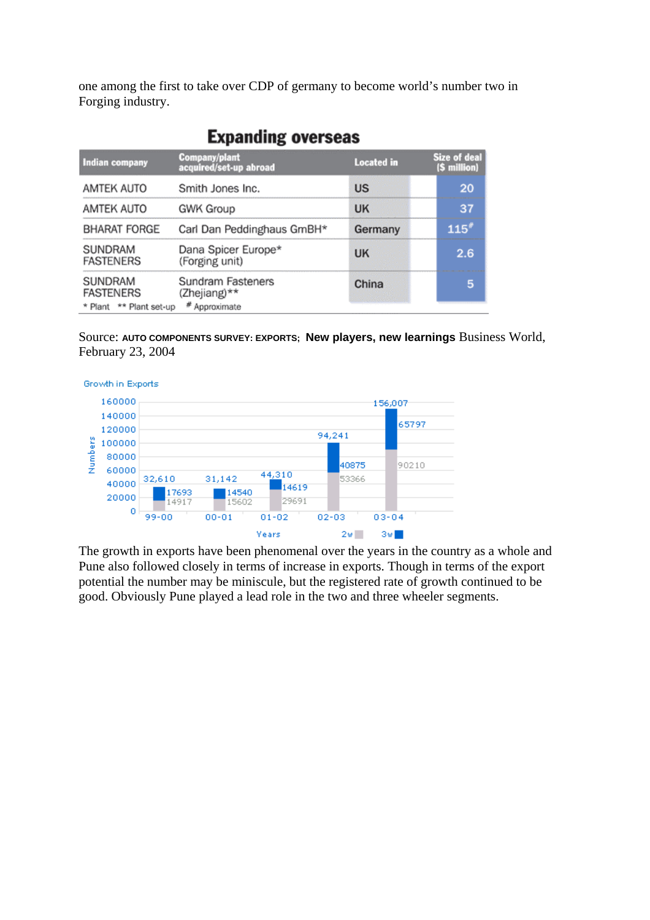one among the first to take over CDP of germany to become world's number two in Forging industry.

| <b>Indian company</b>                                  | <b>Company/plant</b><br>acquired/set-up abroad     | <b>Located</b> in | Size of deal<br>(\$ million) |
|--------------------------------------------------------|----------------------------------------------------|-------------------|------------------------------|
| AMTEK AUTO                                             | Smith Jones Inc.                                   | <b>US</b>         | 20                           |
| AMTEK AUTO                                             | GWK Group                                          | <b>UK</b>         | 37                           |
| <b>BHARAT FORGE</b>                                    | Carl Dan Peddinghaus GmBH*                         | Germany           | 115''                        |
| SUNDRAM<br><b>FASTENERS</b>                            | Dana Spicer Europe*<br>(Forging unit)              | <b>UK</b>         | 2.6                          |
| SUNDRAM<br><b>FASTENERS</b><br>* Plant ** Plant set-up | Sundram Fasteners<br>(Zhejiang)**<br># Approximate | China             | 5                            |

# **Expanding overseas**

Source: **AUTO COMPONENTS SURVEY: EXPORTS; New players, new learnings** Business World, February 23, 2004



The growth in exports have been phenomenal over the years in the country as a whole and Pune also followed closely in terms of increase in exports. Though in terms of the export potential the number may be miniscule, but the registered rate of growth continued to be good. Obviously Pune played a lead role in the two and three wheeler segments.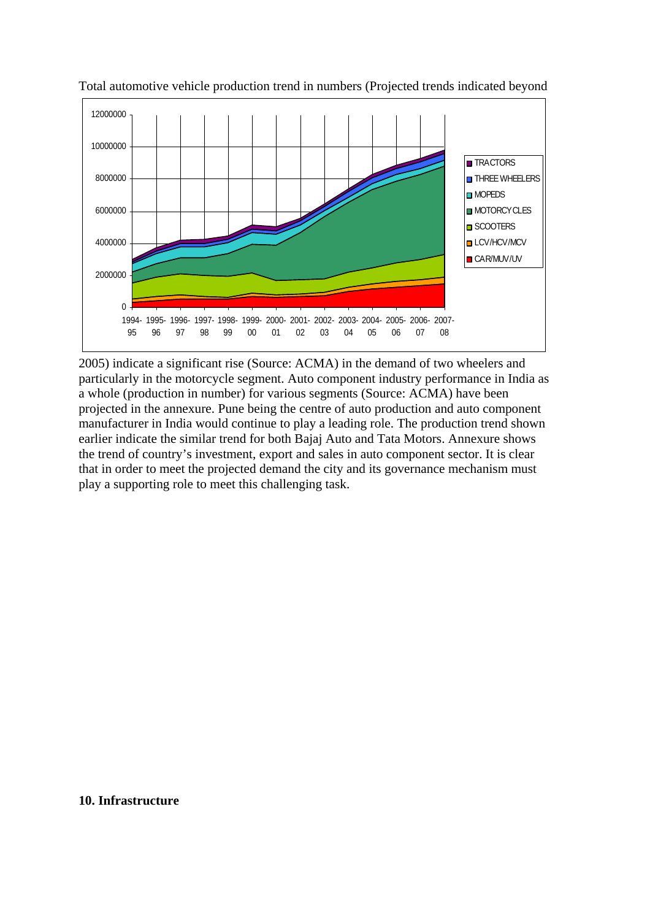

Total automotive vehicle production trend in numbers (Projected trends indicated beyond

2005) indicate a significant rise (Source: ACMA) in the demand of two wheelers and particularly in the motorcycle segment. Auto component industry performance in India as a whole (production in number) for various segments (Source: ACMA) have been projected in the annexure. Pune being the centre of auto production and auto component manufacturer in India would continue to play a leading role. The production trend shown earlier indicate the similar trend for both Bajaj Auto and Tata Motors. Annexure shows the trend of country's investment, export and sales in auto component sector. It is clear that in order to meet the projected demand the city and its governance mechanism must play a supporting role to meet this challenging task.

#### **10. Infrastructure**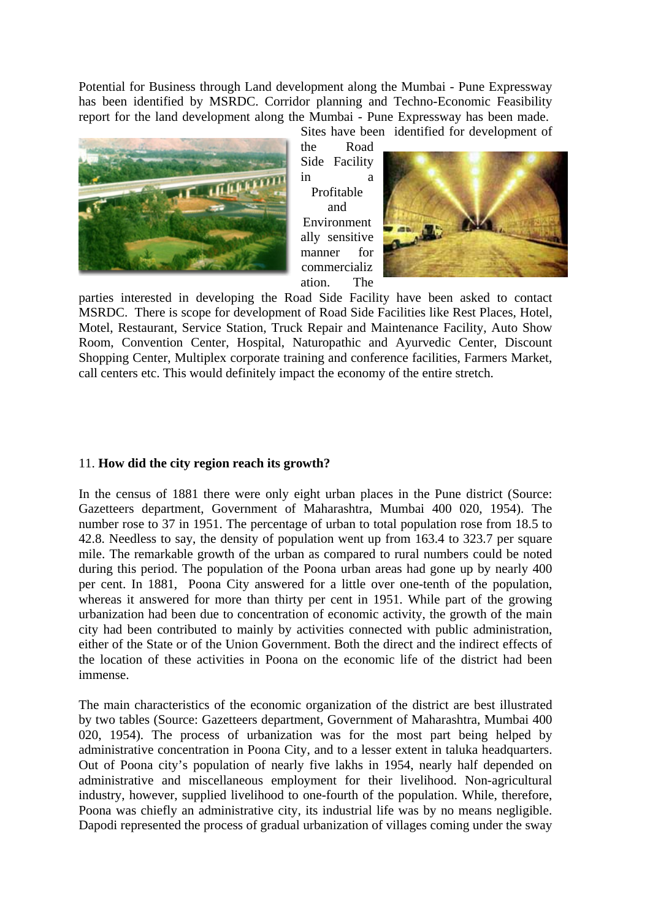Potential for Business through Land development along the Mumbai - Pune Expressway has been identified by MSRDC. Corridor planning and Techno-Economic Feasibility report for the land development along the Mumbai - Pune Expressway has been made.



Sites have been identified for development of the Road

Side Facility in a Profitable and Environment ally sensitive manner for commercializ ation. The



parties interested in developing the Road Side Facility have been asked to contact MSRDC. There is scope for development of Road Side Facilities like Rest Places, Hotel, Motel, Restaurant, Service Station, Truck Repair and Maintenance Facility, Auto Show Room, Convention Center, Hospital, Naturopathic and Ayurvedic Center, Discount Shopping Center, Multiplex corporate training and conference facilities, Farmers Market, call centers etc. This would definitely impact the economy of the entire stretch.

#### 11. **How did the city region reach its growth?**

In the census of 1881 there were only eight urban places in the Pune district (Source: Gazetteers department, Government of Maharashtra, Mumbai 400 020, 1954). The number rose to 37 in 1951. The percentage of urban to total population rose from 18.5 to 42.8. Needless to say, the density of population went up from 163.4 to 323.7 per square mile. The remarkable growth of the urban as compared to rural numbers could be noted during this period. The population of the Poona urban areas had gone up by nearly 400 per cent. In 1881, Poona City answered for a little over one-tenth of the population, whereas it answered for more than thirty per cent in 1951. While part of the growing urbanization had been due to concentration of economic activity, the growth of the main city had been contributed to mainly by activities connected with public administration, either of the State or of the Union Government. Both the direct and the indirect effects of the location of these activities in Poona on the economic life of the district had been immense.

The main characteristics of the economic organization of the district are best illustrated by two tables (Source: Gazetteers department, Government of Maharashtra, Mumbai 400 020, 1954). The process of urbanization was for the most part being helped by administrative concentration in Poona City, and to a lesser extent in taluka headquarters. Out of Poona city's population of nearly five lakhs in 1954, nearly half depended on administrative and miscellaneous employment for their livelihood. Non-agricultural industry, however, supplied livelihood to one-fourth of the population. While, therefore, Poona was chiefly an administrative city, its industrial life was by no means negligible. Dapodi represented the process of gradual urbanization of villages coming under the sway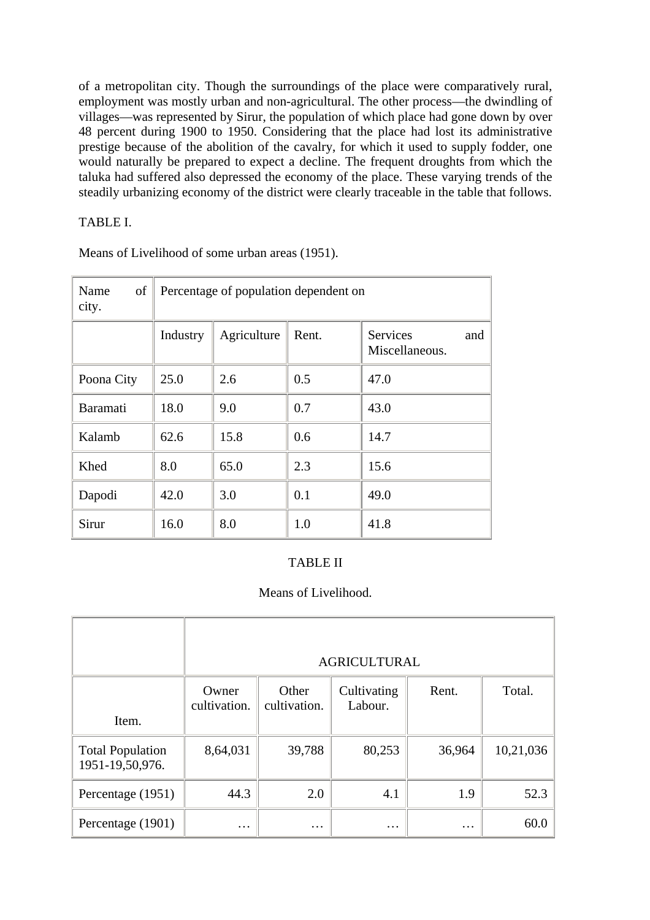of a metropolitan city. Though the surroundings of the place were comparatively rural, employment was mostly urban and non-agricultural. The other process—the dwindling of villages—was represented by Sirur, the population of which place had gone down by over 48 percent during 1900 to 1950. Considering that the place had lost its administrative prestige because of the abolition of the cavalry, for which it used to supply fodder, one would naturally be prepared to expect a decline. The frequent droughts from which the taluka had suffered also depressed the economy of the place. These varying trends of the steadily urbanizing economy of the district were clearly traceable in the table that follows.

### TABLE I.

| Name<br>of<br>city. | Percentage of population dependent on |             |       |                                   |
|---------------------|---------------------------------------|-------------|-------|-----------------------------------|
|                     | Industry                              | Agriculture | Rent. | Services<br>and<br>Miscellaneous. |
| Poona City          | 25.0                                  | 2.6         | 0.5   | 47.0                              |
| Baramati            | 18.0                                  | 9.0         | 0.7   | 43.0                              |
| Kalamb              | 62.6                                  | 15.8        | 0.6   | 14.7                              |
| Khed                | 8.0                                   | 65.0        | 2.3   | 15.6                              |
| Dapodi              | 42.0                                  | 3.0         | 0.1   | 49.0                              |
| Sirur               | 16.0                                  | 8.0         | 1.0   | 41.8                              |

Means of Livelihood of some urban areas (1951).

### TABLE II

### Means of Livelihood.

|                                            |                       |                       | <b>AGRICULTURAL</b>    |          |           |
|--------------------------------------------|-----------------------|-----------------------|------------------------|----------|-----------|
| Item.                                      | Owner<br>cultivation. | Other<br>cultivation. | Cultivating<br>Labour. | Rent.    | Total.    |
| <b>Total Population</b><br>1951-19,50,976. | 8,64,031              | 39,788                | 80,253                 | 36,964   | 10,21,036 |
| Percentage (1951)                          | 44.3                  | 2.0                   | 4.1                    | 1.9      | 52.3      |
| Percentage (1901)                          | $\cdots$              | $\cdots$              | $\cdots$               | $\cdots$ | 60.0      |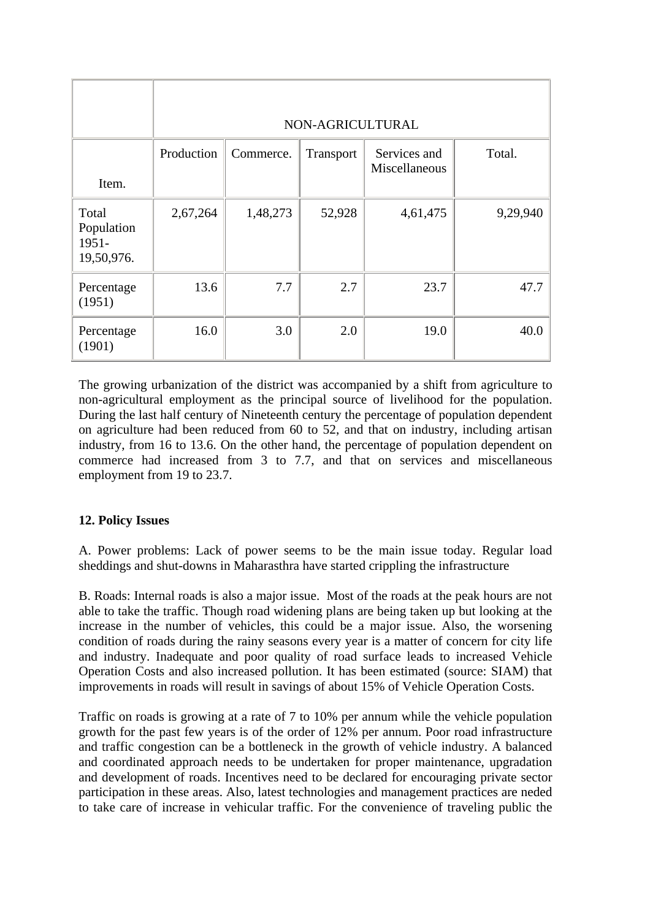|                                               | NON-AGRICULTURAL |           |           |                               |          |
|-----------------------------------------------|------------------|-----------|-----------|-------------------------------|----------|
| Item.                                         | Production       | Commerce. | Transport | Services and<br>Miscellaneous | Total.   |
| Total<br>Population<br>$1951 -$<br>19,50,976. | 2,67,264         | 1,48,273  | 52,928    | 4,61,475                      | 9,29,940 |
| Percentage<br>(1951)                          | 13.6             | 7.7       | 2.7       | 23.7                          | 47.7     |
| Percentage<br>(1901)                          | 16.0             | 3.0       | 2.0       | 19.0                          | 40.0     |

The growing urbanization of the district was accompanied by a shift from agriculture to non-agricultural employment as the principal source of livelihood for the population. During the last half century of Nineteenth century the percentage of population dependent on agriculture had been reduced from 60 to 52, and that on industry, including artisan industry, from 16 to 13.6. On the other hand, the percentage of population dependent on commerce had increased from 3 to 7.7, and that on services and miscellaneous employment from 19 to 23.7.

### **12. Policy Issues**

A. Power problems: Lack of power seems to be the main issue today. Regular load sheddings and shut-downs in Maharasthra have started crippling the infrastructure

B. Roads: Internal roads is also a major issue. Most of the roads at the peak hours are not able to take the traffic. Though road widening plans are being taken up but looking at the increase in the number of vehicles, this could be a major issue. Also, the worsening condition of roads during the rainy seasons every year is a matter of concern for city life and industry. Inadequate and poor quality of road surface leads to increased Vehicle Operation Costs and also increased pollution. It has been estimated (source: SIAM) that improvements in roads will result in savings of about 15% of Vehicle Operation Costs.

Traffic on roads is growing at a rate of 7 to 10% per annum while the vehicle population growth for the past few years is of the order of 12% per annum. Poor road infrastructure and traffic congestion can be a bottleneck in the growth of vehicle industry. A balanced and coordinated approach needs to be undertaken for proper maintenance, upgradation and development of roads. Incentives need to be declared for encouraging private sector participation in these areas. Also, latest technologies and management practices are neded to take care of increase in vehicular traffic. For the convenience of traveling public the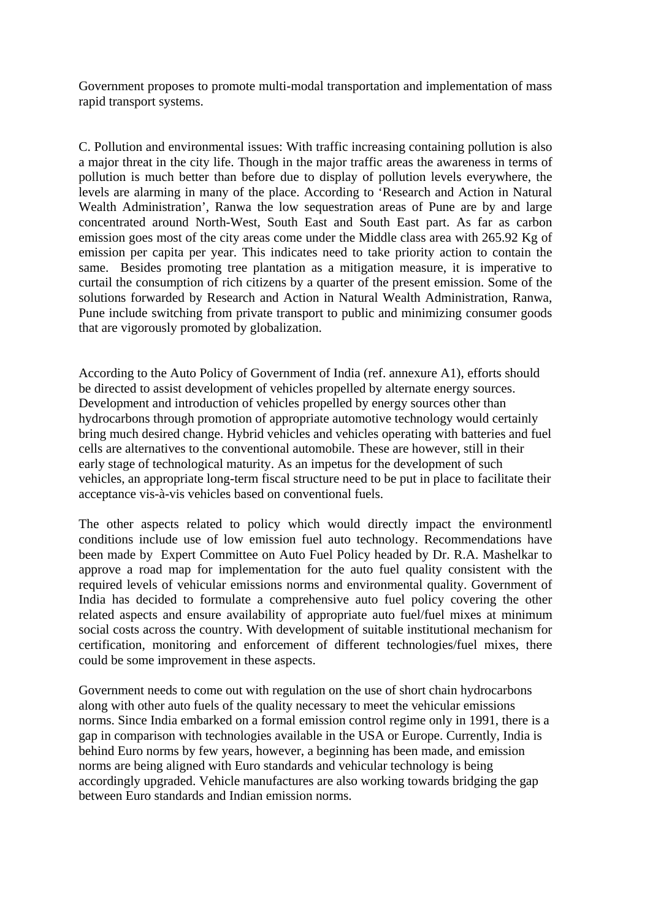Government proposes to promote multi-modal transportation and implementation of mass rapid transport systems.

C. Pollution and environmental issues: With traffic increasing containing pollution is also a major threat in the city life. Though in the major traffic areas the awareness in terms of pollution is much better than before due to display of pollution levels everywhere, the levels are alarming in many of the place. According to 'Research and Action in Natural Wealth Administration', Ranwa the low sequestration areas of Pune are by and large concentrated around North-West, South East and South East part. As far as carbon emission goes most of the city areas come under the Middle class area with 265.92 Kg of emission per capita per year. This indicates need to take priority action to contain the same. Besides promoting tree plantation as a mitigation measure, it is imperative to curtail the consumption of rich citizens by a quarter of the present emission. Some of the solutions forwarded by Research and Action in Natural Wealth Administration, Ranwa, Pune include switching from private transport to public and minimizing consumer goods that are vigorously promoted by globalization.

According to the Auto Policy of Government of India (ref. annexure A1), efforts should be directed to assist development of vehicles propelled by alternate energy sources. Development and introduction of vehicles propelled by energy sources other than hydrocarbons through promotion of appropriate automotive technology would certainly bring much desired change. Hybrid vehicles and vehicles operating with batteries and fuel cells are alternatives to the conventional automobile. These are however, still in their early stage of technological maturity. As an impetus for the development of such vehicles, an appropriate long-term fiscal structure need to be put in place to facilitate their acceptance vis-à-vis vehicles based on conventional fuels.

The other aspects related to policy which would directly impact the environmentl conditions include use of low emission fuel auto technology. Recommendations have been made by Expert Committee on Auto Fuel Policy headed by Dr. R.A. Mashelkar to approve a road map for implementation for the auto fuel quality consistent with the required levels of vehicular emissions norms and environmental quality. Government of India has decided to formulate a comprehensive auto fuel policy covering the other related aspects and ensure availability of appropriate auto fuel/fuel mixes at minimum social costs across the country. With development of suitable institutional mechanism for certification, monitoring and enforcement of different technologies/fuel mixes, there could be some improvement in these aspects.

Government needs to come out with regulation on the use of short chain hydrocarbons along with other auto fuels of the quality necessary to meet the vehicular emissions norms. Since India embarked on a formal emission control regime only in 1991, there is a gap in comparison with technologies available in the USA or Europe. Currently, India is behind Euro norms by few years, however, a beginning has been made, and emission norms are being aligned with Euro standards and vehicular technology is being accordingly upgraded. Vehicle manufactures are also working towards bridging the gap between Euro standards and Indian emission norms.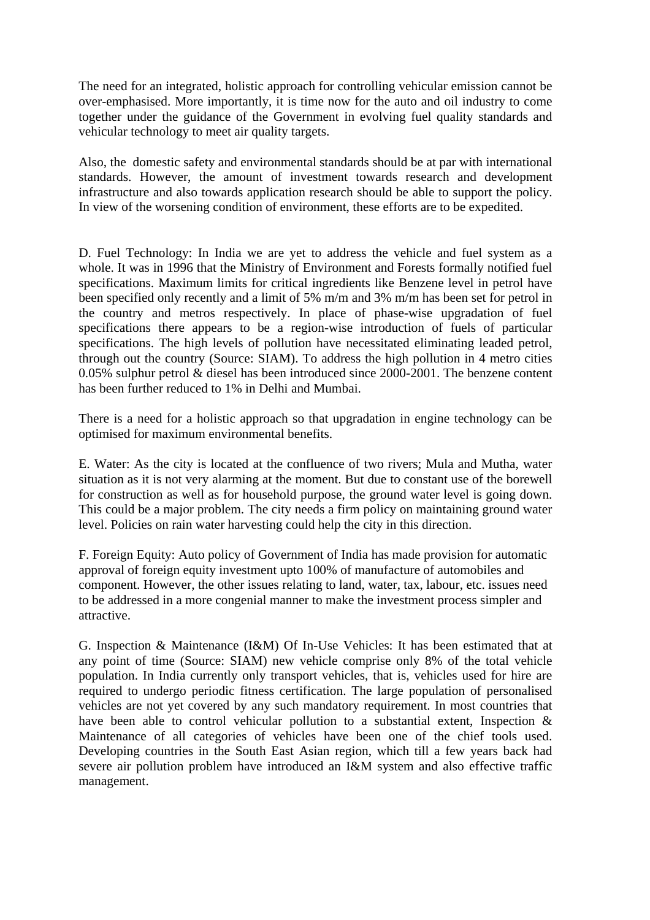The need for an integrated, holistic approach for controlling vehicular emission cannot be over-emphasised. More importantly, it is time now for the auto and oil industry to come together under the guidance of the Government in evolving fuel quality standards and vehicular technology to meet air quality targets.

Also, the domestic safety and environmental standards should be at par with international standards. However, the amount of investment towards research and development infrastructure and also towards application research should be able to support the policy. In view of the worsening condition of environment, these efforts are to be expedited.

D. Fuel Technology: In India we are yet to address the vehicle and fuel system as a whole. It was in 1996 that the Ministry of Environment and Forests formally notified fuel specifications. Maximum limits for critical ingredients like Benzene level in petrol have been specified only recently and a limit of 5% m/m and 3% m/m has been set for petrol in the country and metros respectively. In place of phase-wise upgradation of fuel specifications there appears to be a region-wise introduction of fuels of particular specifications. The high levels of pollution have necessitated eliminating leaded petrol, through out the country (Source: SIAM). To address the high pollution in 4 metro cities 0.05% sulphur petrol & diesel has been introduced since 2000-2001. The benzene content has been further reduced to 1% in Delhi and Mumbai.

There is a need for a holistic approach so that upgradation in engine technology can be optimised for maximum environmental benefits.

E. Water: As the city is located at the confluence of two rivers; Mula and Mutha, water situation as it is not very alarming at the moment. But due to constant use of the borewell for construction as well as for household purpose, the ground water level is going down. This could be a major problem. The city needs a firm policy on maintaining ground water level. Policies on rain water harvesting could help the city in this direction.

F. Foreign Equity: Auto policy of Government of India has made provision for automatic approval of foreign equity investment upto 100% of manufacture of automobiles and component. However, the other issues relating to land, water, tax, labour, etc. issues need to be addressed in a more congenial manner to make the investment process simpler and attractive.

G. Inspection & Maintenance (I&M) Of In-Use Vehicles: It has been estimated that at any point of time (Source: SIAM) new vehicle comprise only 8% of the total vehicle population. In India currently only transport vehicles, that is, vehicles used for hire are required to undergo periodic fitness certification. The large population of personalised vehicles are not yet covered by any such mandatory requirement. In most countries that have been able to control vehicular pollution to a substantial extent, Inspection & Maintenance of all categories of vehicles have been one of the chief tools used. Developing countries in the South East Asian region, which till a few years back had severe air pollution problem have introduced an I&M system and also effective traffic management.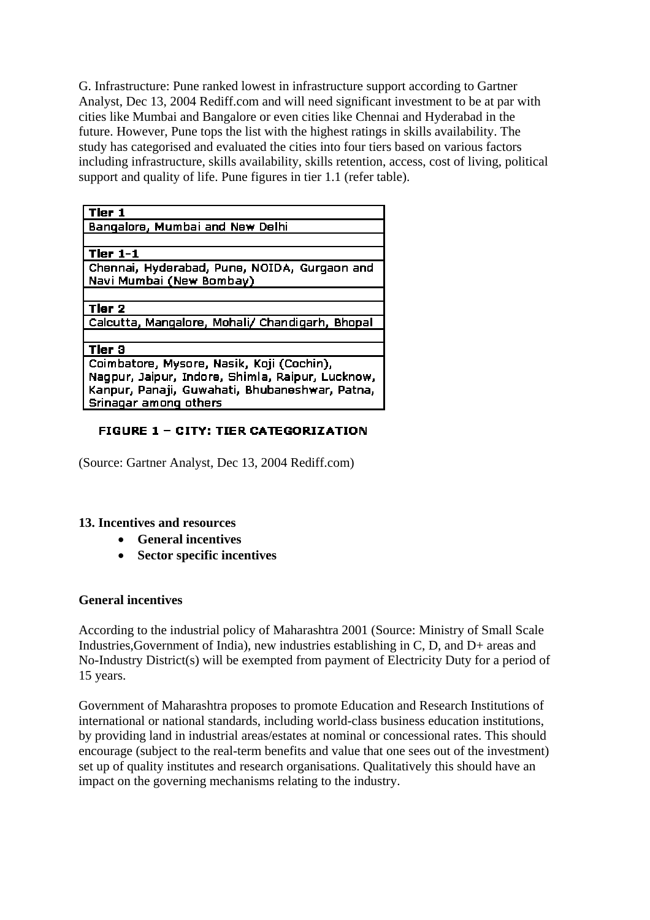G. Infrastructure: Pune ranked lowest in infrastructure support according to Gartner Analyst, Dec 13, 2004 Rediff.com and will need significant investment to be at par with cities like Mumbai and Bangalore or even cities like Chennai and Hyderabad in the future. However, Pune tops the list with the highest ratings in skills availability. The study has categorised and evaluated the cities into four tiers based on various factors including infrastructure, skills availability, skills retention, access, cost of living, political support and quality of life. Pune figures in tier 1.1 (refer table).

| Tier 1                                           |
|--------------------------------------------------|
| Bangalore, Mumbai and New Delhi                  |
|                                                  |
|                                                  |
| Tier $1-1$                                       |
| Chennai, Hyderabad, Pune, NOIDA, Gurgaon and     |
| Navi Mumbai (New Bombay)                         |
|                                                  |
| <b>Tier 2</b>                                    |
| Calcutta, Mangalore, Mohali/ Chandigarh, Bhopal  |
|                                                  |
| Tier 3                                           |
| Coimbatore, Mysore, Nasik, Koji (Cochin),        |
| Nagpur, Jaipur, Indore, Shimla, Raipur, Lucknow, |
| Kanpur, Panaji, Guwahati, Bhubaneshwar, Patna,   |
| Srinagar among others                            |
|                                                  |

### **FIGURE 1 - CITY: TIER CATEGORIZATION**

(Source: Gartner Analyst, Dec 13, 2004 Rediff.com)

#### **13. Incentives and resources**

- **General incentives**
- **Sector specific incentives**

#### **General incentives**

According to the industrial policy of Maharashtra 2001 (Source: Ministry of Small Scale Industries,Government of India), new industries establishing in C, D, and D+ areas and No-Industry District(s) will be exempted from payment of Electricity Duty for a period of 15 years.

Government of Maharashtra proposes to promote Education and Research Institutions of international or national standards, including world-class business education institutions, by providing land in industrial areas/estates at nominal or concessional rates. This should encourage (subject to the real-term benefits and value that one sees out of the investment) set up of quality institutes and research organisations. Qualitatively this should have an impact on the governing mechanisms relating to the industry.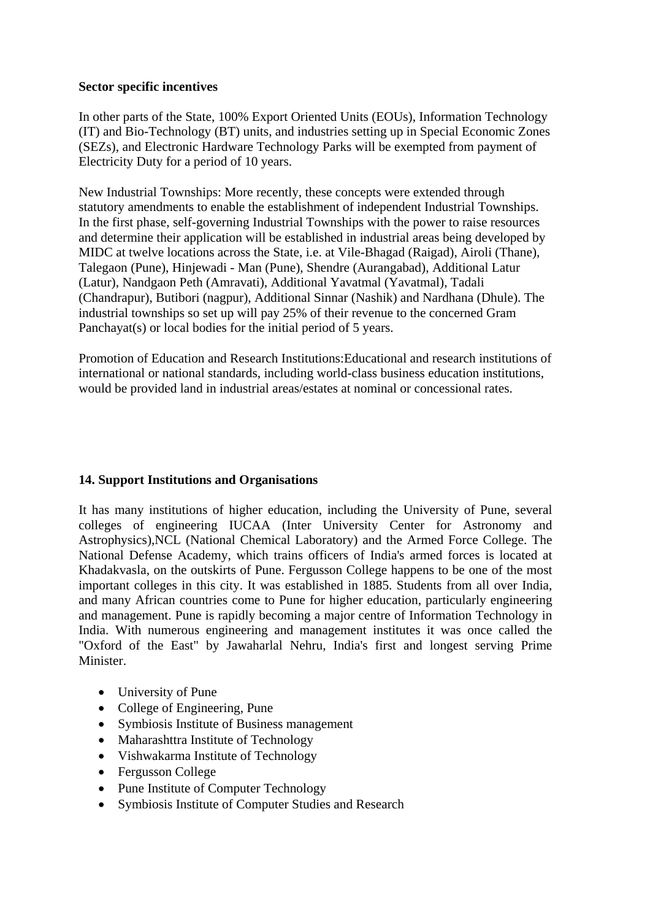#### **Sector specific incentives**

In other parts of the State, 100% Export Oriented Units (EOUs), Information Technology (IT) and Bio-Technology (BT) units, and industries setting up in Special Economic Zones (SEZs), and Electronic Hardware Technology Parks will be exempted from payment of Electricity Duty for a period of 10 years.

New Industrial Townships: More recently, these concepts were extended through statutory amendments to enable the establishment of independent Industrial Townships. In the first phase, self-governing Industrial Townships with the power to raise resources and determine their application will be established in industrial areas being developed by MIDC at twelve locations across the State, i.e. at Vile-Bhagad (Raigad), Airoli (Thane), Talegaon (Pune), Hinjewadi - Man (Pune), Shendre (Aurangabad), Additional Latur (Latur), Nandgaon Peth (Amravati), Additional Yavatmal (Yavatmal), Tadali (Chandrapur), Butibori (nagpur), Additional Sinnar (Nashik) and Nardhana (Dhule). The industrial townships so set up will pay 25% of their revenue to the concerned Gram Panchayat(s) or local bodies for the initial period of 5 years.

Promotion of Education and Research Institutions:Educational and research institutions of international or national standards, including world-class business education institutions, would be provided land in industrial areas/estates at nominal or concessional rates.

### **14. Support Institutions and Organisations**

It has many institutions of higher education, including the University of Pune, several colleges of engineering IUCAA (Inter University Center for Astronomy and Astrophysics),NCL (National Chemical Laboratory) and the Armed Force College. The National Defense Academy, which trains officers of India's armed forces is located at Khadakvasla, on the outskirts of Pune. Fergusson College happens to be one of the most important colleges in this city. It was established in 1885. Students from all over India, and many African countries come to Pune for higher education, particularly engineering and management. Pune is rapidly becoming a major centre of Information Technology in India. With numerous engineering and management institutes it was once called the "Oxford of the East" by Jawaharlal Nehru, India's first and longest serving Prime Minister.

- University of Pune
- College of Engineering, Pune
- Symbiosis Institute of Business management
- Maharashttra Institute of Technology
- Vishwakarma Institute of Technology
- Fergusson College
- Pune Institute of Computer Technology
- Symbiosis Institute of Computer Studies and Research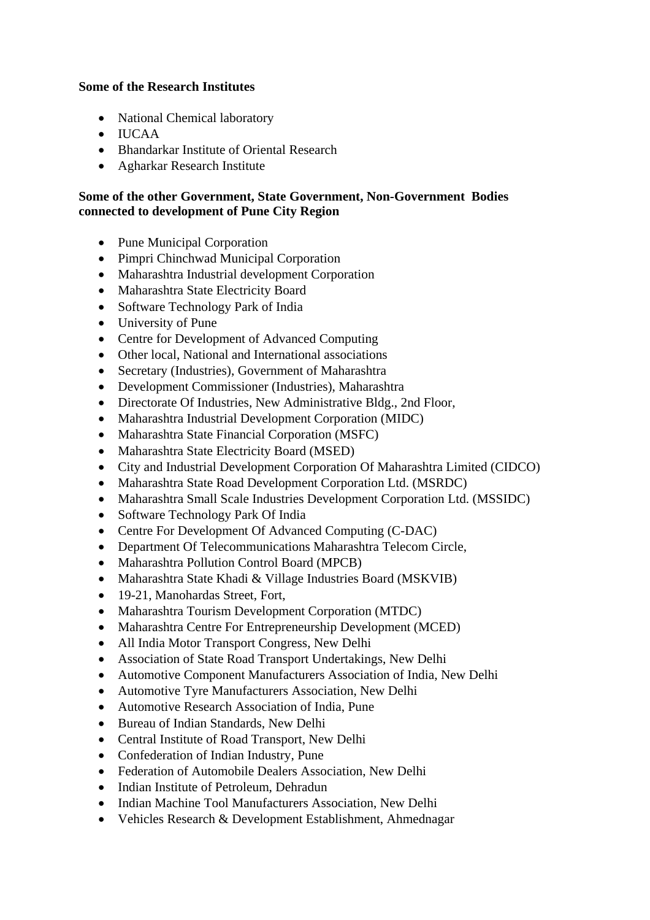#### **Some of the Research Institutes**

- National Chemical laboratory
- IUCAA
- Bhandarkar Institute of Oriental Research
- Agharkar Research Institute

#### **Some of the other Government, State Government, Non-Government Bodies connected to development of Pune City Region**

- Pune Municipal Corporation
- Pimpri Chinchwad Municipal Corporation
- Maharashtra Industrial development Corporation
- Maharashtra State Electricity Board
- Software Technology Park of India
- University of Pune
- Centre for Development of Advanced Computing
- Other local, National and International associations
- Secretary (Industries), Government of Maharashtra
- Development Commissioner (Industries), Maharashtra
- Directorate Of Industries, New Administrative Bldg., 2nd Floor,
- Maharashtra Industrial Development Corporation (MIDC)
- Maharashtra State Financial Corporation (MSFC)
- Maharashtra State Electricity Board (MSED)
- City and Industrial Development Corporation Of Maharashtra Limited (CIDCO)
- Maharashtra State Road Development Corporation Ltd. (MSRDC)
- Maharashtra Small Scale Industries Development Corporation Ltd. (MSSIDC)
- Software Technology Park Of India
- Centre For Development Of Advanced Computing (C-DAC)
- Department Of Telecommunications Maharashtra Telecom Circle,
- Maharashtra Pollution Control Board (MPCB)
- Maharashtra State Khadi & Village Industries Board (MSKVIB)
- 19-21, Manohardas Street, Fort,
- Maharashtra Tourism Development Corporation (MTDC)
- Maharashtra Centre For Entrepreneurship Development (MCED)
- All India Motor Transport Congress, New Delhi
- Association of State Road Transport Undertakings, New Delhi
- Automotive Component Manufacturers Association of India, New Delhi
- Automotive Tyre Manufacturers Association, New Delhi
- Automotive Research Association of India, Pune
- Bureau of Indian Standards, New Delhi
- Central Institute of Road Transport, New Delhi
- Confederation of Indian Industry, Pune
- Federation of Automobile Dealers Association, New Delhi
- Indian Institute of Petroleum, Dehradun
- Indian Machine Tool Manufacturers Association, New Delhi
- Vehicles Research & Development Establishment, Ahmednagar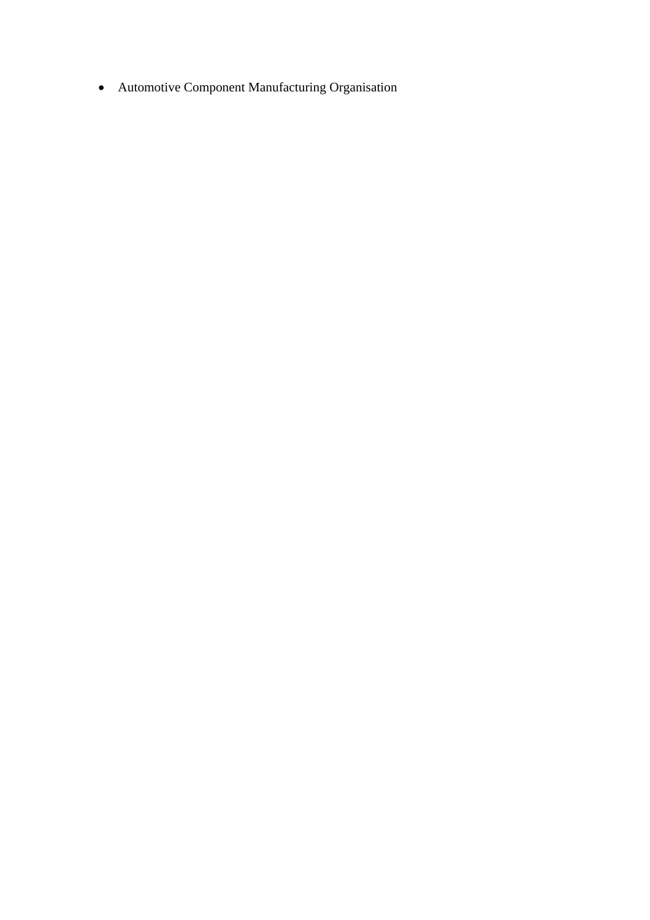• Automotive Component Manufacturing Organisation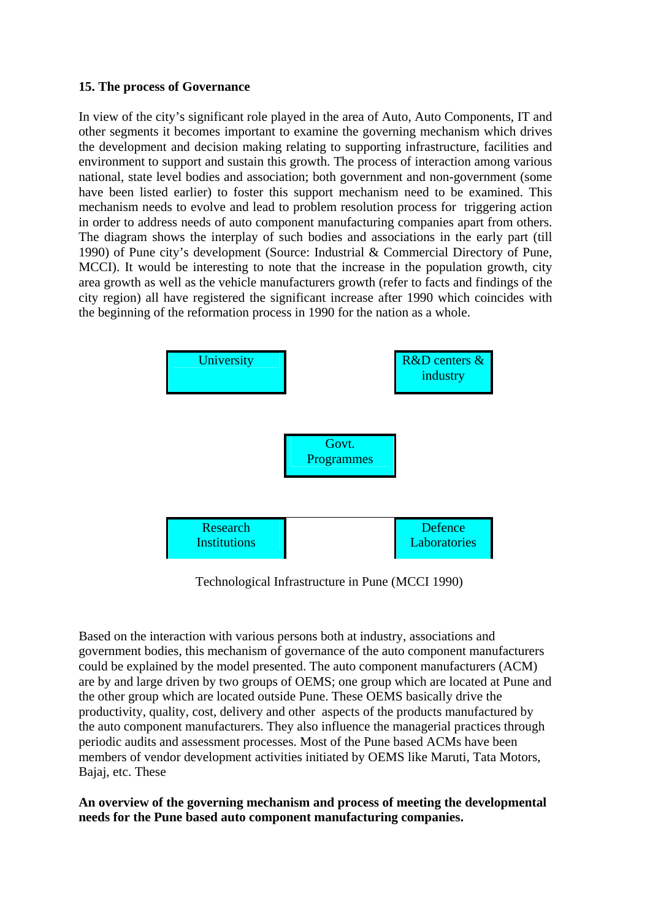#### **15. The process of Governance**

In view of the city's significant role played in the area of Auto, Auto Components, IT and other segments it becomes important to examine the governing mechanism which drives the development and decision making relating to supporting infrastructure, facilities and environment to support and sustain this growth. The process of interaction among various national, state level bodies and association; both government and non-government (some have been listed earlier) to foster this support mechanism need to be examined. This mechanism needs to evolve and lead to problem resolution process for triggering action in order to address needs of auto component manufacturing companies apart from others. The diagram shows the interplay of such bodies and associations in the early part (till 1990) of Pune city's development (Source: Industrial & Commercial Directory of Pune, MCCI). It would be interesting to note that the increase in the population growth, city area growth as well as the vehicle manufacturers growth (refer to facts and findings of the city region) all have registered the significant increase after 1990 which coincides with the beginning of the reformation process in 1990 for the nation as a whole.



Technological Infrastructure in Pune (MCCI 1990)

Based on the interaction with various persons both at industry, associations and government bodies, this mechanism of governance of the auto component manufacturers could be explained by the model presented. The auto component manufacturers (ACM) are by and large driven by two groups of OEMS; one group which are located at Pune and the other group which are located outside Pune. These OEMS basically drive the productivity, quality, cost, delivery and other aspects of the products manufactured by the auto component manufacturers. They also influence the managerial practices through periodic audits and assessment processes. Most of the Pune based ACMs have been members of vendor development activities initiated by OEMS like Maruti, Tata Motors, Bajaj, etc. These

**An overview of the governing mechanism and process of meeting the developmental needs for the Pune based auto component manufacturing companies.**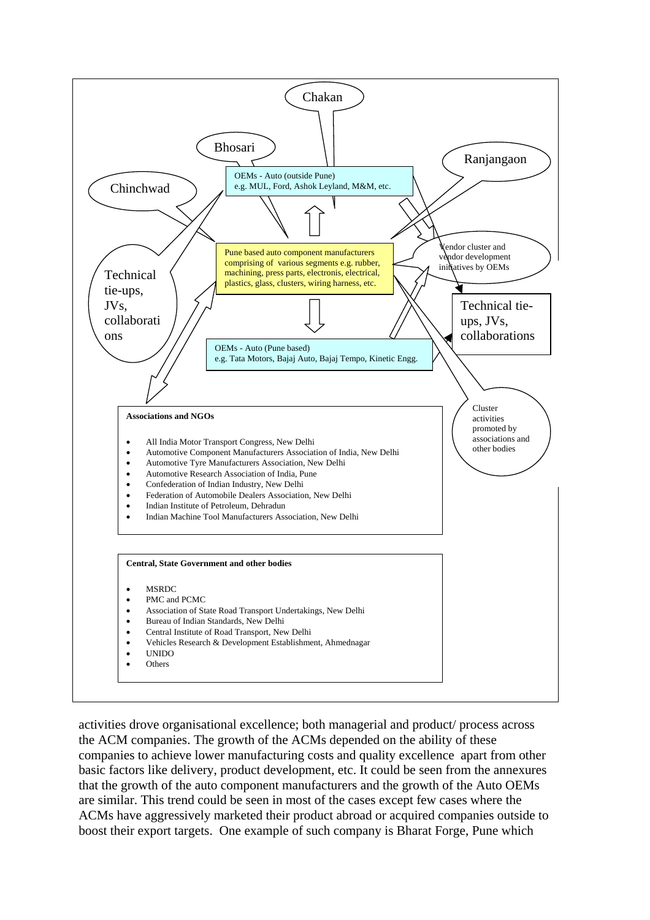

activities drove organisational excellence; both managerial and product/ process across the ACM companies. The growth of the ACMs depended on the ability of these companies to achieve lower manufacturing costs and quality excellence apart from other basic factors like delivery, product development, etc. It could be seen from the annexures that the growth of the auto component manufacturers and the growth of the Auto OEMs are similar. This trend could be seen in most of the cases except few cases where the ACMs have aggressively marketed their product abroad or acquired companies outside to boost their export targets. One example of such company is Bharat Forge, Pune which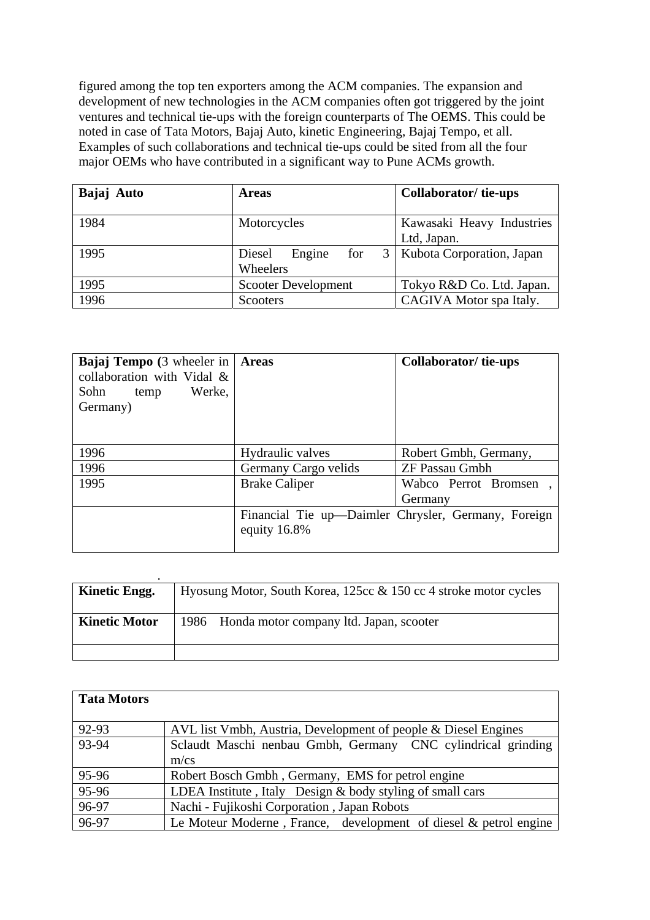figured among the top ten exporters among the ACM companies. The expansion and development of new technologies in the ACM companies often got triggered by the joint ventures and technical tie-ups with the foreign counterparts of The OEMS. This could be noted in case of Tata Motors, Bajaj Auto, kinetic Engineering, Bajaj Tempo, et all. Examples of such collaborations and technical tie-ups could be sited from all the four major OEMs who have contributed in a significant way to Pune ACMs growth.

| Bajaj Auto | <b>Areas</b>                 | <b>Collaborator/tie-ups</b> |
|------------|------------------------------|-----------------------------|
| 1984       | Motorcycles                  | Kawasaki Heavy Industries   |
|            |                              | Ltd, Japan.                 |
| 1995       | 3<br>Engine<br>for<br>Diesel | Kubota Corporation, Japan   |
|            | Wheelers                     |                             |
| 1995       | <b>Scooter Development</b>   | Tokyo R&D Co. Ltd. Japan.   |
| 1996       | <b>Scooters</b>              | CAGIVA Motor spa Italy.     |

| <b>Bajaj Tempo</b> (3 wheeler in   <b>Areas</b><br>collaboration with Vidal &<br>Sohn<br>Werke,<br>temp<br>Germany) |                      | Collaborator/tie-ups                                |
|---------------------------------------------------------------------------------------------------------------------|----------------------|-----------------------------------------------------|
| 1996                                                                                                                | Hydraulic valves     | Robert Gmbh, Germany,                               |
| 1996                                                                                                                | Germany Cargo velids | <b>ZF Passau Gmbh</b>                               |
| 1995                                                                                                                | <b>Brake Caliper</b> | Wabco Perrot Bromsen                                |
|                                                                                                                     |                      | Germany                                             |
|                                                                                                                     | equity 16.8%         | Financial Tie up-Daimler Chrysler, Germany, Foreign |

| Kinetic Engg.        | Hyosung Motor, South Korea, 125cc $\&$ 150 cc 4 stroke motor cycles |
|----------------------|---------------------------------------------------------------------|
| <b>Kinetic Motor</b> | 1986 Honda motor company ltd. Japan, scooter                        |
|                      |                                                                     |

| <b>Tata Motors</b> |                                                                     |
|--------------------|---------------------------------------------------------------------|
| 92-93              | AVL list Vmbh, Austria, Development of people & Diesel Engines      |
| 93-94              | Sclaudt Maschi nenbau Gmbh, Germany CNC cylindrical grinding        |
|                    | $m$ /cs                                                             |
| 95-96              | Robert Bosch Gmbh, Germany, EMS for petrol engine                   |
| 95-96              | LDEA Institute, Italy Design & body styling of small cars           |
| 96-97              | Nachi - Fujikoshi Corporation, Japan Robots                         |
| 96-97              | Le Moteur Moderne, France, development of diesel $\&$ petrol engine |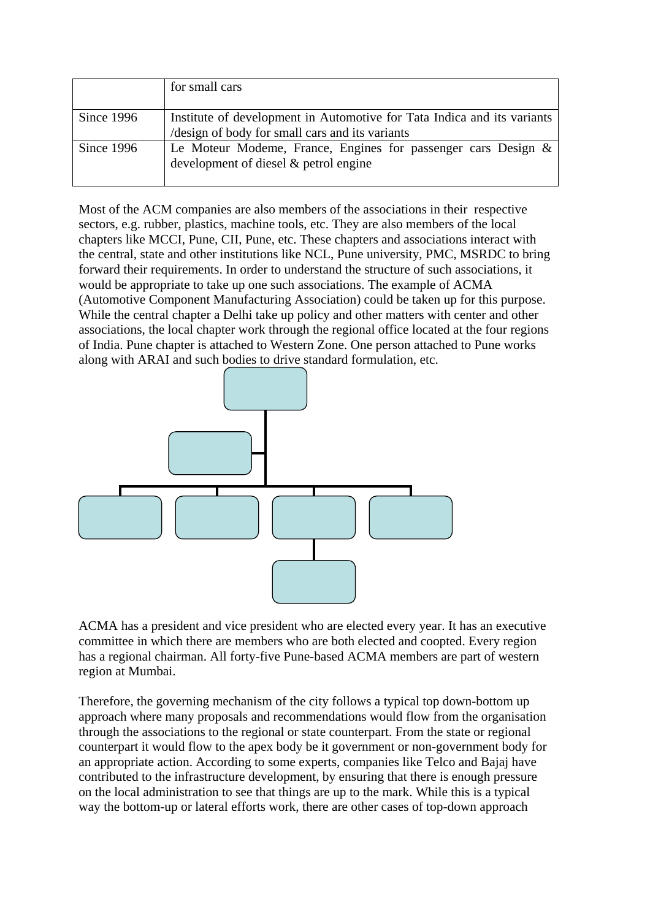|            | for small cars                                                                                                             |
|------------|----------------------------------------------------------------------------------------------------------------------------|
| Since 1996 | Institute of development in Automotive for Tata Indica and its variants<br>/design of body for small cars and its variants |
| Since 1996 | Le Moteur Modeme, France, Engines for passenger cars Design &<br>development of diesel $\&$ petrol engine                  |

Most of the ACM companies are also members of the associations in their respective sectors, e.g. rubber, plastics, machine tools, etc. They are also members of the local chapters like MCCI, Pune, CII, Pune, etc. These chapters and associations interact with the central, state and other institutions like NCL, Pune university, PMC, MSRDC to bring forward their requirements. In order to understand the structure of such associations, it would be appropriate to take up one such associations. The example of ACMA (Automotive Component Manufacturing Association) could be taken up for this purpose. While the central chapter a Delhi take up policy and other matters with center and other associations, the local chapter work through the regional office located at the four regions of India. Pune chapter is attached to Western Zone. One person attached to Pune works along with ARAI and such bodies to drive standard formulation, etc.



ACMA has a president and vice president who are elected every year. It has an executive committee in which there are members who are both elected and coopted. Every region has a regional chairman. All forty-five Pune-based ACMA members are part of western region at Mumbai.

Therefore, the governing mechanism of the city follows a typical top down-bottom up approach where many proposals and recommendations would flow from the organisation through the associations to the regional or state counterpart. From the state or regional counterpart it would flow to the apex body be it government or non-government body for an appropriate action. According to some experts, companies like Telco and Bajaj have contributed to the infrastructure development, by ensuring that there is enough pressure on the local administration to see that things are up to the mark. While this is a typical way the bottom-up or lateral efforts work, there are other cases of top-down approach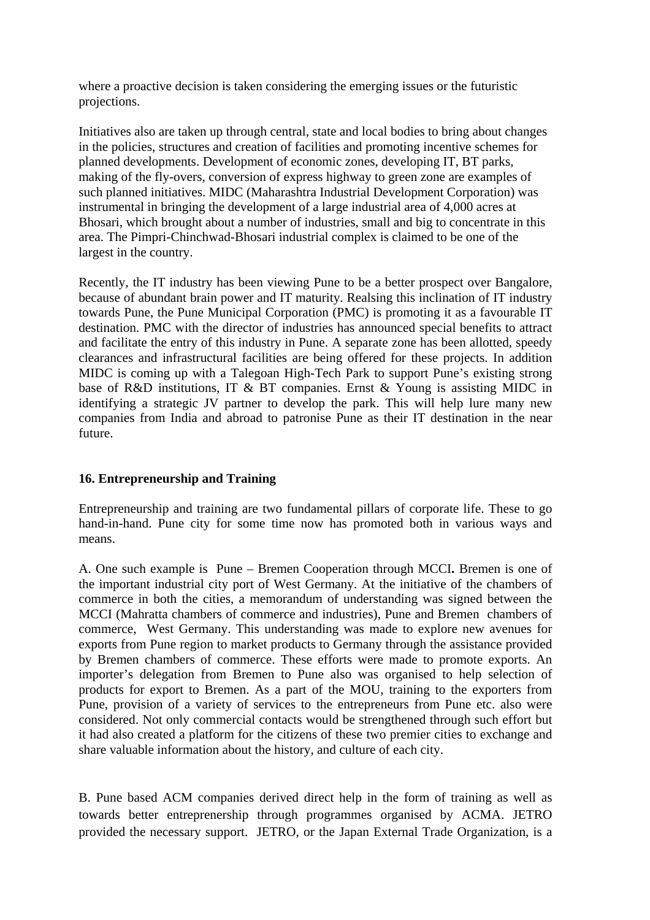where a proactive decision is taken considering the emerging issues or the futuristic projections.

Initiatives also are taken up through central, state and local bodies to bring about changes in the policies, structures and creation of facilities and promoting incentive schemes for planned developments. Development of economic zones, developing IT, BT parks, making of the fly-overs, conversion of express highway to green zone are examples of such planned initiatives. MIDC (Maharashtra Industrial Development Corporation) was instrumental in bringing the development of a large industrial area of 4,000 acres at Bhosari, which brought about a number of industries, small and big to concentrate in this area. The Pimpri-Chinchwad-Bhosari industrial complex is claimed to be one of the largest in the country.

Recently, the IT industry has been viewing Pune to be a better prospect over Bangalore, because of abundant brain power and IT maturity. Realsing this inclination of IT industry towards Pune, the Pune Municipal Corporation (PMC) is promoting it as a favourable IT destination. PMC with the director of industries has announced special benefits to attract and facilitate the entry of this industry in Pune. A separate zone has been allotted, speedy clearances and infrastructural facilities are being offered for these projects. In addition MIDC is coming up with a Talegoan High-Tech Park to support Pune's existing strong base of R&D institutions, IT & BT companies. Ernst & Young is assisting MIDC in identifying a strategic JV partner to develop the park. This will help lure many new companies from India and abroad to patronise Pune as their IT destination in the near future.

### **16. Entrepreneurship and Training**

Entrepreneurship and training are two fundamental pillars of corporate life. These to go hand-in-hand. Pune city for some time now has promoted both in various ways and means.

A. One such example is Pune – Bremen Cooperation through MCCI**.** Bremen is one of the important industrial city port of West Germany. At the initiative of the chambers of commerce in both the cities, a memorandum of understanding was signed between the MCCI (Mahratta chambers of commerce and industries), Pune and Bremen chambers of commerce, West Germany. This understanding was made to explore new avenues for exports from Pune region to market products to Germany through the assistance provided by Bremen chambers of commerce. These efforts were made to promote exports. An importer's delegation from Bremen to Pune also was organised to help selection of products for export to Bremen. As a part of the MOU, training to the exporters from Pune, provision of a variety of services to the entrepreneurs from Pune etc. also were considered. Not only commercial contacts would be strengthened through such effort but it had also created a platform for the citizens of these two premier cities to exchange and share valuable information about the history, and culture of each city.

B. Pune based ACM companies derived direct help in the form of training as well as towards better entreprenership through programmes organised by ACMA. JETRO provided the necessary support. JETRO, or the Japan External Trade Organization, is a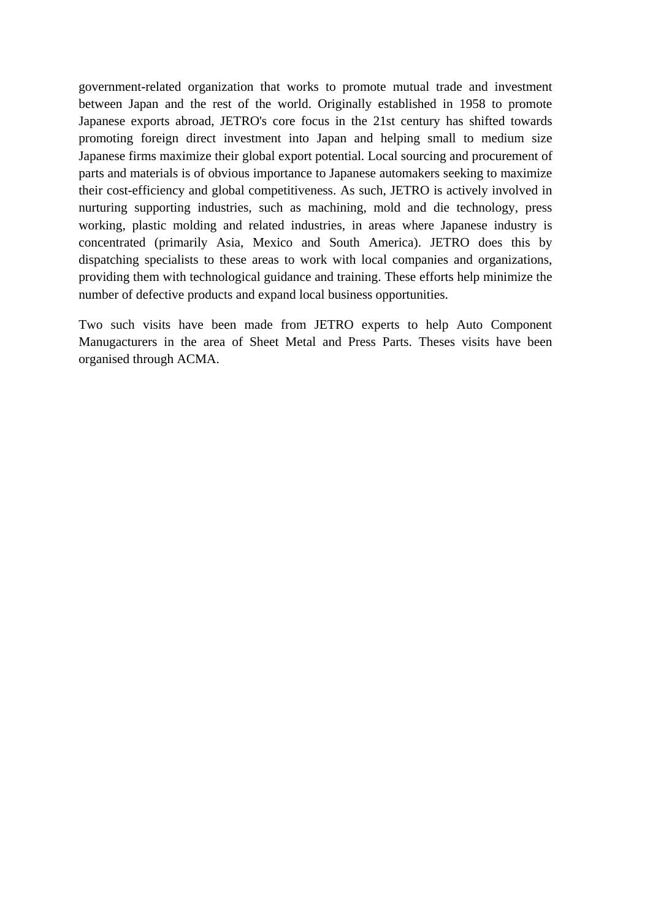government-related organization that works to promote mutual trade and investment between Japan and the rest of the world. Originally established in 1958 to promote Japanese exports abroad, JETRO's core focus in the 21st century has shifted towards promoting foreign direct investment into Japan and helping small to medium size Japanese firms maximize their global export potential. Local sourcing and procurement of parts and materials is of obvious importance to Japanese automakers seeking to maximize their cost-efficiency and global competitiveness. As such, JETRO is actively involved in nurturing supporting industries, such as machining, mold and die technology, press working, plastic molding and related industries, in areas where Japanese industry is concentrated (primarily Asia, Mexico and South America). JETRO does this by dispatching specialists to these areas to work with local companies and organizations, providing them with technological guidance and training. These efforts help minimize the number of defective products and expand local business opportunities.

Two such visits have been made from JETRO experts to help Auto Component Manugacturers in the area of Sheet Metal and Press Parts. Theses visits have been organised through ACMA.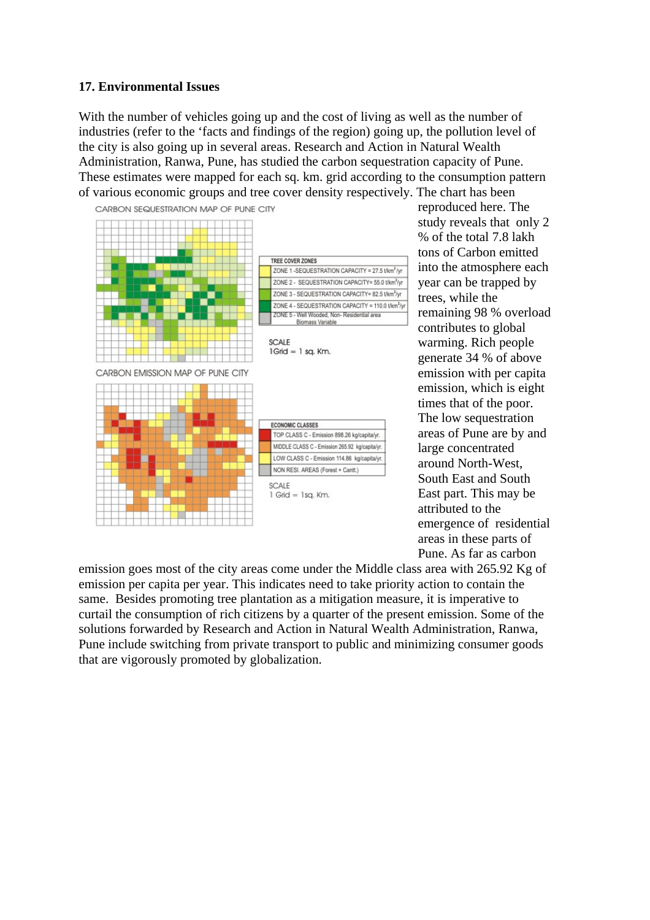#### **17. Environmental Issues**

With the number of vehicles going up and the cost of living as well as the number of industries (refer to the 'facts and findings of the region) going up, the pollution level of the city is also going up in several areas. Research and Action in Natural Wealth Administration, Ranwa, Pune, has studied the carbon sequestration capacity of Pune. These estimates were mapped for each sq. km. grid according to the consumption pattern of various economic groups and tree cover density respectively. The chart has been



reproduced here. The study reveals that only 2 % of the total 7.8 lakh tons of Carbon emitted into the atmosphere each year can be trapped by trees, while the remaining 98 % overload contributes to global warming. Rich people generate 34 % of above emission with per capita emission, which is eight times that of the poor. The low sequestration areas of Pune are by and large concentrated around North-West, South East and South East part. This may be attributed to the emergence of residential areas in these parts of Pune. As far as carbon

emission goes most of the city areas come under the Middle class area with 265.92 Kg of emission per capita per year. This indicates need to take priority action to contain the same. Besides promoting tree plantation as a mitigation measure, it is imperative to curtail the consumption of rich citizens by a quarter of the present emission. Some of the solutions forwarded by Research and Action in Natural Wealth Administration, Ranwa, Pune include switching from private transport to public and minimizing consumer goods that are vigorously promoted by globalization.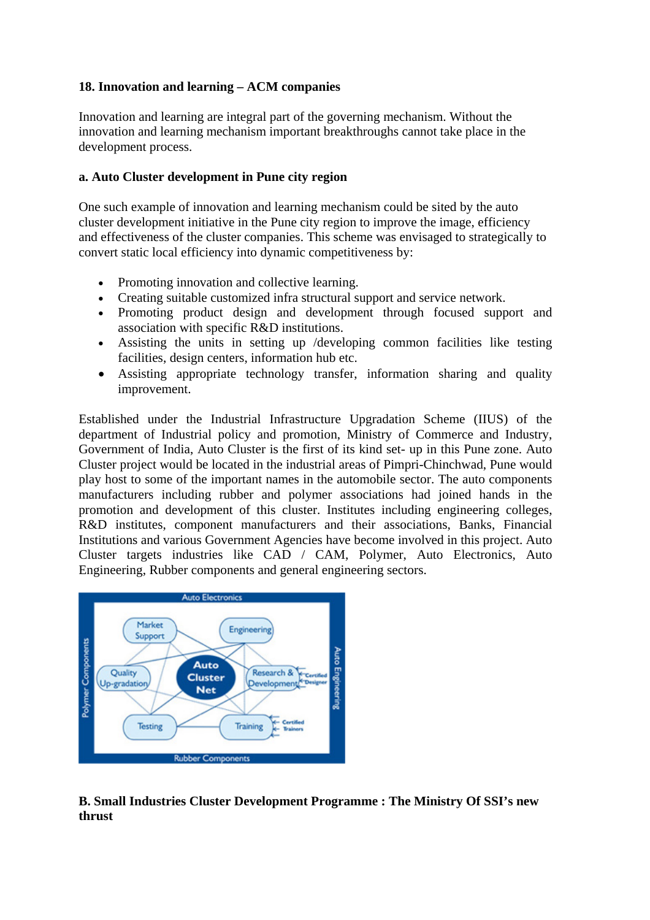#### **18. Innovation and learning – ACM companies**

Innovation and learning are integral part of the governing mechanism. Without the innovation and learning mechanism important breakthroughs cannot take place in the development process.

#### **a. Auto Cluster development in Pune city region**

One such example of innovation and learning mechanism could be sited by the auto cluster development initiative in the Pune city region to improve the image, efficiency and effectiveness of the cluster companies. This scheme was envisaged to strategically to convert static local efficiency into dynamic competitiveness by:

- Promoting innovation and collective learning.
- Creating suitable customized infra structural support and service network.
- Promoting product design and development through focused support and association with specific R&D institutions.
- Assisting the units in setting up /developing common facilities like testing facilities, design centers, information hub etc.
- Assisting appropriate technology transfer, information sharing and quality improvement.

Established under the Industrial Infrastructure Upgradation Scheme (IIUS) of the department of Industrial policy and promotion, Ministry of Commerce and Industry, Government of India, Auto Cluster is the first of its kind set- up in this Pune zone. Auto Cluster project would be located in the industrial areas of Pimpri-Chinchwad, Pune would play host to some of the important names in the automobile sector. The auto components manufacturers including rubber and polymer associations had joined hands in the promotion and development of this cluster. Institutes including engineering colleges, R&D institutes, component manufacturers and their associations, Banks, Financial Institutions and various Government Agencies have become involved in this project. Auto Cluster targets industries like CAD / CAM, Polymer, Auto Electronics, Auto Engineering, Rubber components and general engineering sectors.



# **B. Small Industries Cluster Development Programme : The Ministry Of SSI's new thrust**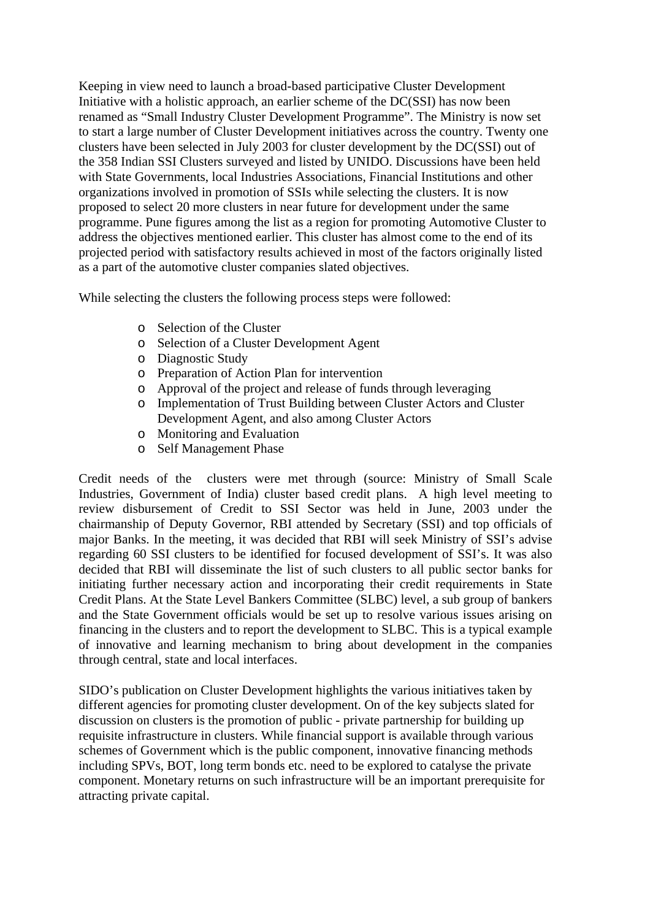Keeping in view need to launch a broad-based participative Cluster Development Initiative with a holistic approach, an earlier scheme of the DC(SSI) has now been renamed as "Small Industry Cluster Development Programme". The Ministry is now set to start a large number of Cluster Development initiatives across the country. Twenty one clusters have been selected in July 2003 for cluster development by the DC(SSI) out of the 358 Indian SSI Clusters surveyed and listed by UNIDO. Discussions have been held with State Governments, local Industries Associations, Financial Institutions and other organizations involved in promotion of SSIs while selecting the clusters. It is now proposed to select 20 more clusters in near future for development under the same programme. Pune figures among the list as a region for promoting Automotive Cluster to address the objectives mentioned earlier. This cluster has almost come to the end of its projected period with satisfactory results achieved in most of the factors originally listed as a part of the automotive cluster companies slated objectives.

While selecting the clusters the following process steps were followed:

- o Selection of the Cluster
- o Selection of a Cluster Development Agent
- o Diagnostic Study
- o Preparation of Action Plan for intervention
- o Approval of the project and release of funds through leveraging
- o Implementation of Trust Building between Cluster Actors and Cluster Development Agent, and also among Cluster Actors
- o Monitoring and Evaluation
- o Self Management Phase

Credit needs of the clusters were met through (source: Ministry of Small Scale Industries, Government of India) cluster based credit plans. A high level meeting to review disbursement of Credit to SSI Sector was held in June, 2003 under the chairmanship of Deputy Governor, RBI attended by Secretary (SSI) and top officials of major Banks. In the meeting, it was decided that RBI will seek Ministry of SSI's advise regarding 60 SSI clusters to be identified for focused development of SSI's. It was also decided that RBI will disseminate the list of such clusters to all public sector banks for initiating further necessary action and incorporating their credit requirements in State Credit Plans. At the State Level Bankers Committee (SLBC) level, a sub group of bankers and the State Government officials would be set up to resolve various issues arising on financing in the clusters and to report the development to SLBC. This is a typical example of innovative and learning mechanism to bring about development in the companies through central, state and local interfaces.

SIDO's publication on Cluster Development highlights the various initiatives taken by different agencies for promoting cluster development. On of the key subjects slated for discussion on clusters is the promotion of public - private partnership for building up requisite infrastructure in clusters. While financial support is available through various schemes of Government which is the public component, innovative financing methods including SPVs, BOT, long term bonds etc. need to be explored to catalyse the private component. Monetary returns on such infrastructure will be an important prerequisite for attracting private capital.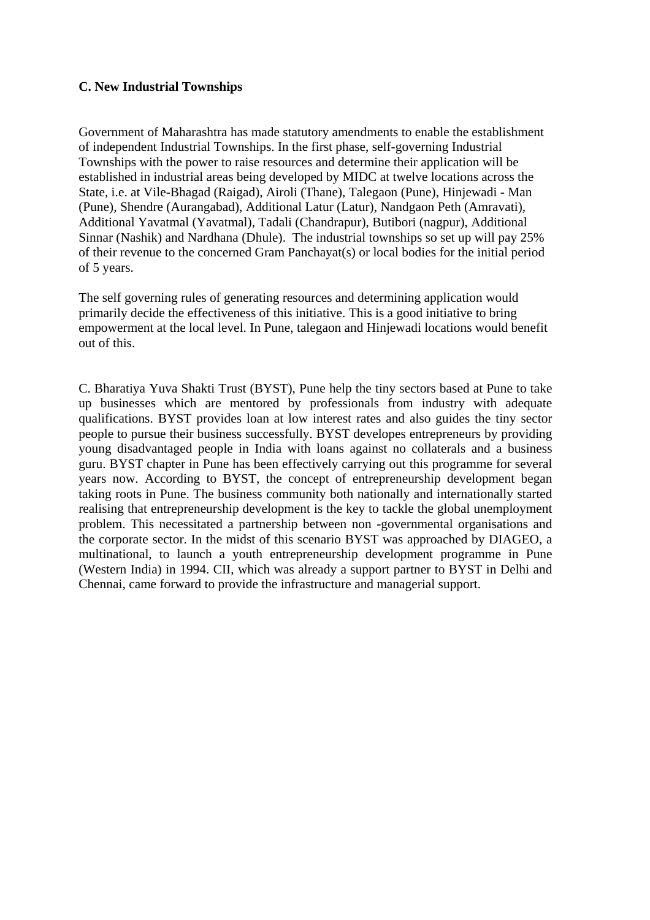#### **C. New Industrial Townships**

Government of Maharashtra has made statutory amendments to enable the establishment of independent Industrial Townships. In the first phase, self-governing Industrial Townships with the power to raise resources and determine their application will be established in industrial areas being developed by MIDC at twelve locations across the State, i.e. at Vile-Bhagad (Raigad), Airoli (Thane), Talegaon (Pune), Hinjewadi - Man (Pune), Shendre (Aurangabad), Additional Latur (Latur), Nandgaon Peth (Amravati), Additional Yavatmal (Yavatmal), Tadali (Chandrapur), Butibori (nagpur), Additional Sinnar (Nashik) and Nardhana (Dhule). The industrial townships so set up will pay 25% of their revenue to the concerned Gram Panchayat(s) or local bodies for the initial period of 5 years.

The self governing rules of generating resources and determining application would primarily decide the effectiveness of this initiative. This is a good initiative to bring empowerment at the local level. In Pune, talegaon and Hinjewadi locations would benefit out of this.

C. Bharatiya Yuva Shakti Trust (BYST), Pune help the tiny sectors based at Pune to take up businesses which are mentored by professionals from industry with adequate qualifications. BYST provides loan at low interest rates and also guides the tiny sector people to pursue their business successfully. BYST developes entrepreneurs by providing young disadvantaged people in India with loans against no collaterals and a business guru. BYST chapter in Pune has been effectively carrying out this programme for several years now. According to BYST, the concept of entrepreneurship development began taking roots in Pune. The business community both nationally and internationally started realising that entrepreneurship development is the key to tackle the global unemployment problem. This necessitated a partnership between non -governmental organisations and the corporate sector. In the midst of this scenario BYST was approached by DIAGEO, a multinational, to launch a youth entrepreneurship development programme in Pune (Western India) in 1994. CII, which was already a support partner to BYST in Delhi and Chennai, came forward to provide the infrastructure and managerial support.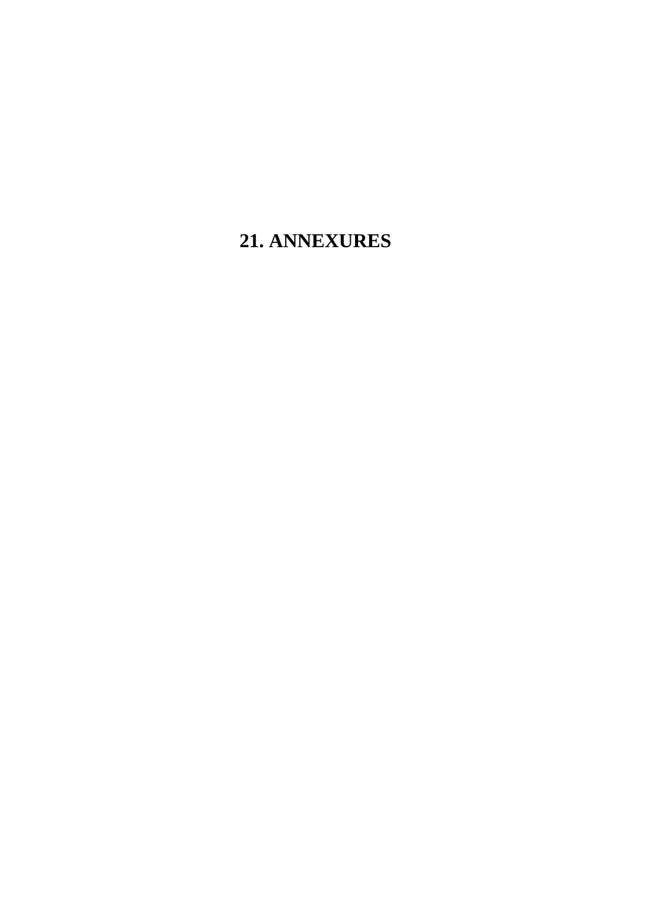# **21. ANNEXURES**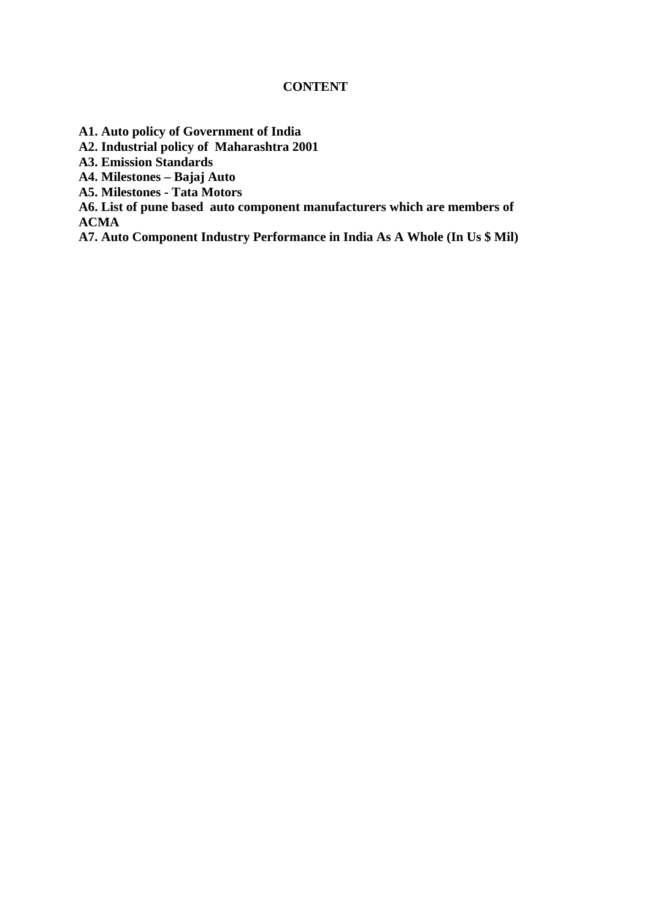#### **CONTENT**

**A1. Auto policy of Government of India** 

**A2. Industrial policy of Maharashtra 2001** 

**A3. Emission Standards** 

**A4. Milestones – Bajaj Auto** 

**A5. Milestones - Tata Motors** 

**A6. List of pune based auto component manufacturers which are members of ACMA** 

**A7. Auto Component Industry Performance in India As A Whole (In Us \$ Mil)**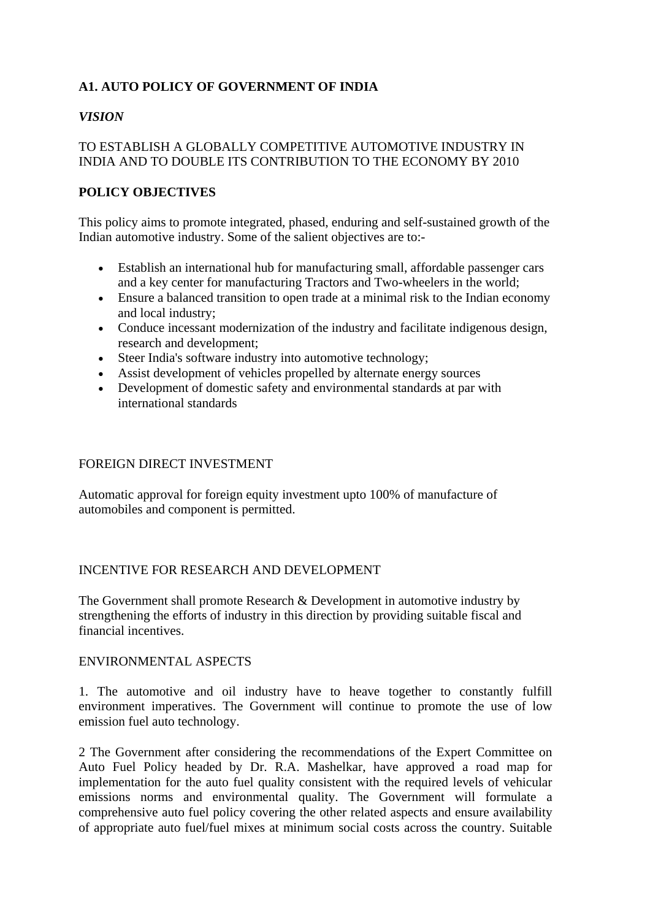# **A1. AUTO POLICY OF GOVERNMENT OF INDIA**

# *VISION*

### TO ESTABLISH A GLOBALLY COMPETITIVE AUTOMOTIVE INDUSTRY IN INDIA AND TO DOUBLE ITS CONTRIBUTION TO THE ECONOMY BY 2010

# **POLICY OBJECTIVES**

This policy aims to promote integrated, phased, enduring and self-sustained growth of the Indian automotive industry. Some of the salient objectives are to:-

- Establish an international hub for manufacturing small, affordable passenger cars and a key center for manufacturing Tractors and Two-wheelers in the world;
- Ensure a balanced transition to open trade at a minimal risk to the Indian economy and local industry;
- Conduce incessant modernization of the industry and facilitate indigenous design, research and development;
- Steer India's software industry into automotive technology;
- Assist development of vehicles propelled by alternate energy sources
- Development of domestic safety and environmental standards at par with international standards

#### FOREIGN DIRECT INVESTMENT

Automatic approval for foreign equity investment upto 100% of manufacture of automobiles and component is permitted.

### INCENTIVE FOR RESEARCH AND DEVELOPMENT

The Government shall promote Research & Development in automotive industry by strengthening the efforts of industry in this direction by providing suitable fiscal and financial incentives.

#### ENVIRONMENTAL ASPECTS

1. The automotive and oil industry have to heave together to constantly fulfill environment imperatives. The Government will continue to promote the use of low emission fuel auto technology.

2 The Government after considering the recommendations of the Expert Committee on Auto Fuel Policy headed by Dr. R.A. Mashelkar, have approved a road map for implementation for the auto fuel quality consistent with the required levels of vehicular emissions norms and environmental quality. The Government will formulate a comprehensive auto fuel policy covering the other related aspects and ensure availability of appropriate auto fuel/fuel mixes at minimum social costs across the country. Suitable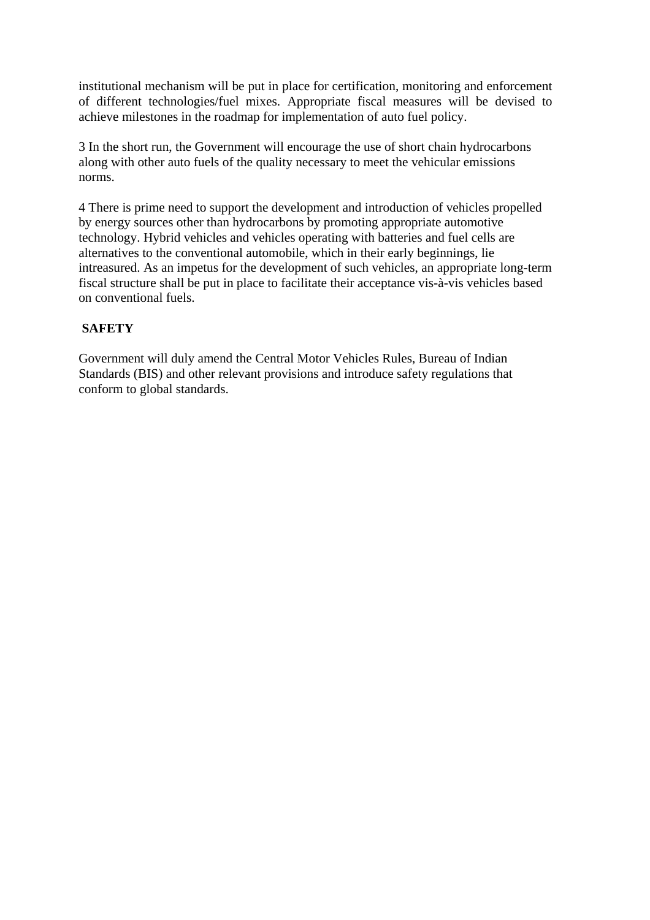institutional mechanism will be put in place for certification, monitoring and enforcement of different technologies/fuel mixes. Appropriate fiscal measures will be devised to achieve milestones in the roadmap for implementation of auto fuel policy.

3 In the short run, the Government will encourage the use of short chain hydrocarbons along with other auto fuels of the quality necessary to meet the vehicular emissions norms.

4 There is prime need to support the development and introduction of vehicles propelled by energy sources other than hydrocarbons by promoting appropriate automotive technology. Hybrid vehicles and vehicles operating with batteries and fuel cells are alternatives to the conventional automobile, which in their early beginnings, lie intreasured. As an impetus for the development of such vehicles, an appropriate long-term fiscal structure shall be put in place to facilitate their acceptance vis-à-vis vehicles based on conventional fuels.

# **SAFETY**

Government will duly amend the Central Motor Vehicles Rules, Bureau of Indian Standards (BIS) and other relevant provisions and introduce safety regulations that conform to global standards.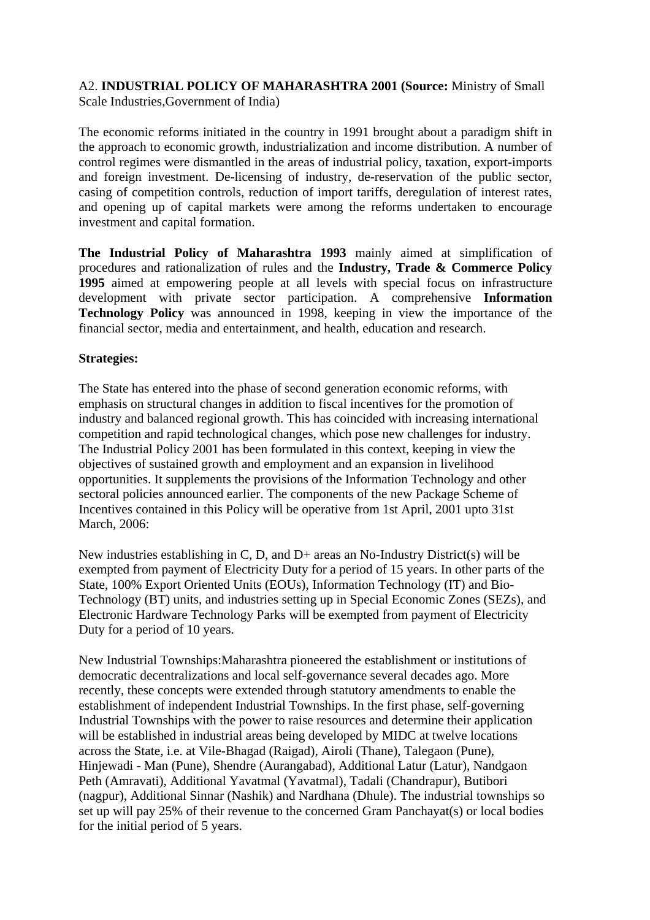#### A2. **INDUSTRIAL POLICY OF MAHARASHTRA 2001 (Source:** Ministry of Small Scale Industries,Government of India)

The economic reforms initiated in the country in 1991 brought about a paradigm shift in the approach to economic growth, industrialization and income distribution. A number of control regimes were dismantled in the areas of industrial policy, taxation, export-imports and foreign investment. De-licensing of industry, de-reservation of the public sector, casing of competition controls, reduction of import tariffs, deregulation of interest rates, and opening up of capital markets were among the reforms undertaken to encourage investment and capital formation.

**The Industrial Policy of Maharashtra 1993** mainly aimed at simplification of procedures and rationalization of rules and the **Industry, Trade & Commerce Policy 1995** aimed at empowering people at all levels with special focus on infrastructure development with private sector participation. A comprehensive **Information Technology Policy** was announced in 1998, keeping in view the importance of the financial sector, media and entertainment, and health, education and research.

#### **Strategies:**

The State has entered into the phase of second generation economic reforms, with emphasis on structural changes in addition to fiscal incentives for the promotion of industry and balanced regional growth. This has coincided with increasing international competition and rapid technological changes, which pose new challenges for industry. The Industrial Policy 2001 has been formulated in this context, keeping in view the objectives of sustained growth and employment and an expansion in livelihood opportunities. It supplements the provisions of the Information Technology and other sectoral policies announced earlier. The components of the new Package Scheme of Incentives contained in this Policy will be operative from 1st April, 2001 upto 31st March, 2006:

New industries establishing in C, D, and D+ areas an No-Industry District(s) will be exempted from payment of Electricity Duty for a period of 15 years. In other parts of the State, 100% Export Oriented Units (EOUs), Information Technology (IT) and Bio-Technology (BT) units, and industries setting up in Special Economic Zones (SEZs), and Electronic Hardware Technology Parks will be exempted from payment of Electricity Duty for a period of 10 years.

New Industrial Townships:Maharashtra pioneered the establishment or institutions of democratic decentralizations and local self-governance several decades ago. More recently, these concepts were extended through statutory amendments to enable the establishment of independent Industrial Townships. In the first phase, self-governing Industrial Townships with the power to raise resources and determine their application will be established in industrial areas being developed by MIDC at twelve locations across the State, i.e. at Vile-Bhagad (Raigad), Airoli (Thane), Talegaon (Pune), Hinjewadi - Man (Pune), Shendre (Aurangabad), Additional Latur (Latur), Nandgaon Peth (Amravati), Additional Yavatmal (Yavatmal), Tadali (Chandrapur), Butibori (nagpur), Additional Sinnar (Nashik) and Nardhana (Dhule). The industrial townships so set up will pay 25% of their revenue to the concerned Gram Panchayat(s) or local bodies for the initial period of 5 years.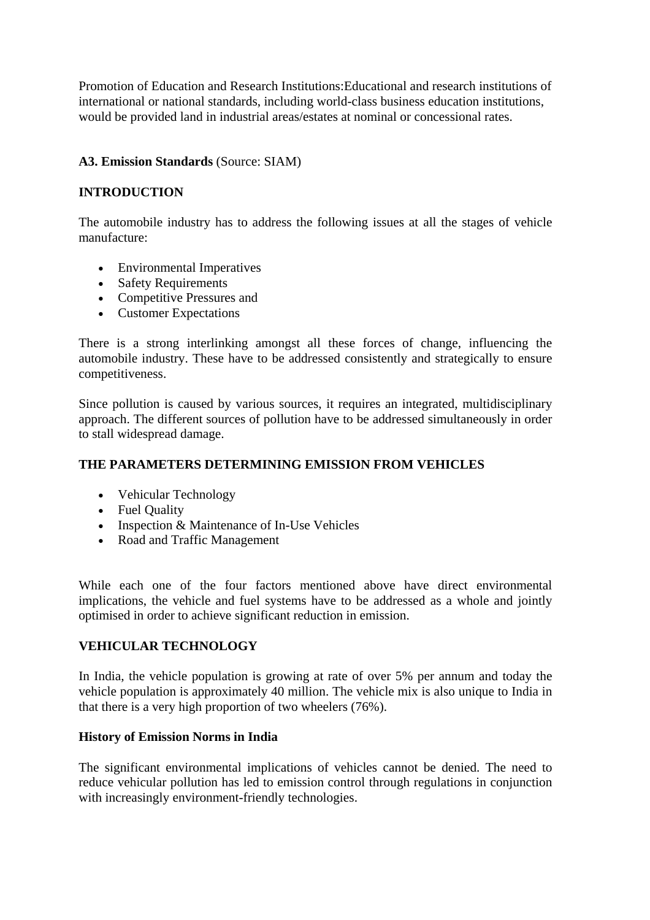Promotion of Education and Research Institutions:Educational and research institutions of international or national standards, including world-class business education institutions, would be provided land in industrial areas/estates at nominal or concessional rates.

#### **A3. Emission Standards** (Source: SIAM)

#### **INTRODUCTION**

The automobile industry has to address the following issues at all the stages of vehicle manufacture:

- Environmental Imperatives
- Safety Requirements
- Competitive Pressures and
- Customer Expectations

There is a strong interlinking amongst all these forces of change, influencing the automobile industry. These have to be addressed consistently and strategically to ensure competitiveness.

Since pollution is caused by various sources, it requires an integrated, multidisciplinary approach. The different sources of pollution have to be addressed simultaneously in order to stall widespread damage.

#### **THE PARAMETERS DETERMINING EMISSION FROM VEHICLES**

- Vehicular Technology
- Fuel Quality
- Inspection & Maintenance of In-Use Vehicles
- Road and Traffic Management

While each one of the four factors mentioned above have direct environmental implications, the vehicle and fuel systems have to be addressed as a whole and jointly optimised in order to achieve significant reduction in emission.

#### **VEHICULAR TECHNOLOGY**

In India, the vehicle population is growing at rate of over 5% per annum and today the vehicle population is approximately 40 million. The vehicle mix is also unique to India in that there is a very high proportion of two wheelers (76%).

#### **History of Emission Norms in India**

The significant environmental implications of vehicles cannot be denied. The need to reduce vehicular pollution has led to emission control through regulations in conjunction with increasingly environment-friendly technologies.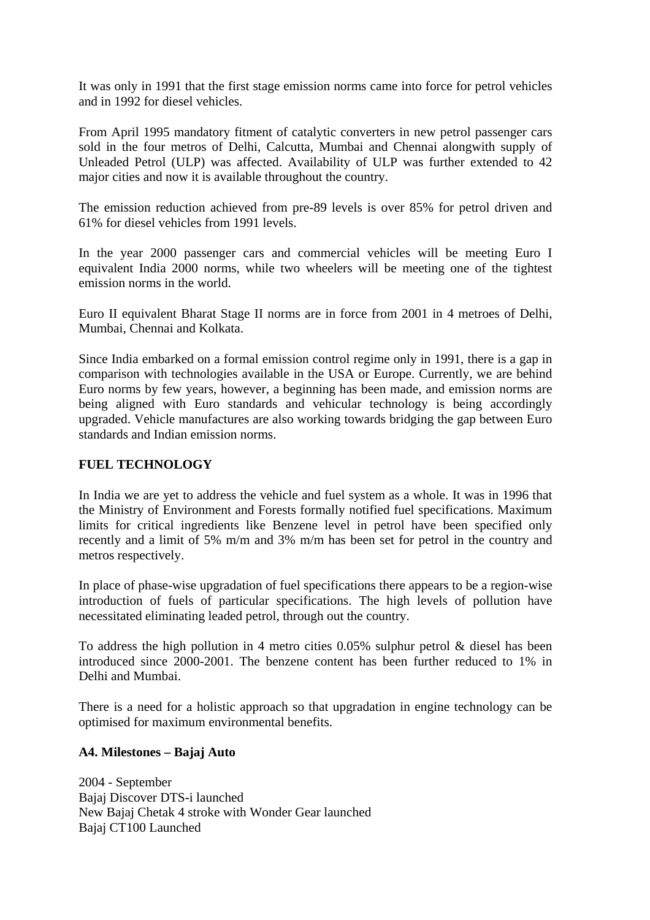It was only in 1991 that the first stage emission norms came into force for petrol vehicles and in 1992 for diesel vehicles.

From April 1995 mandatory fitment of catalytic converters in new petrol passenger cars sold in the four metros of Delhi, Calcutta, Mumbai and Chennai alongwith supply of Unleaded Petrol (ULP) was affected. Availability of ULP was further extended to 42 major cities and now it is available throughout the country.

The emission reduction achieved from pre-89 levels is over 85% for petrol driven and 61% for diesel vehicles from 1991 levels.

In the year 2000 passenger cars and commercial vehicles will be meeting Euro I equivalent India 2000 norms, while two wheelers will be meeting one of the tightest emission norms in the world.

Euro II equivalent Bharat Stage II norms are in force from 2001 in 4 metroes of Delhi, Mumbai, Chennai and Kolkata.

Since India embarked on a formal emission control regime only in 1991, there is a gap in comparison with technologies available in the USA or Europe. Currently, we are behind Euro norms by few years, however, a beginning has been made, and emission norms are being aligned with Euro standards and vehicular technology is being accordingly upgraded. Vehicle manufactures are also working towards bridging the gap between Euro standards and Indian emission norms.

#### **FUEL TECHNOLOGY**

In India we are yet to address the vehicle and fuel system as a whole. It was in 1996 that the Ministry of Environment and Forests formally notified fuel specifications. Maximum limits for critical ingredients like Benzene level in petrol have been specified only recently and a limit of 5% m/m and 3% m/m has been set for petrol in the country and metros respectively.

In place of phase-wise upgradation of fuel specifications there appears to be a region-wise introduction of fuels of particular specifications. The high levels of pollution have necessitated eliminating leaded petrol, through out the country.

To address the high pollution in 4 metro cities 0.05% sulphur petrol & diesel has been introduced since 2000-2001. The benzene content has been further reduced to 1% in Delhi and Mumbai.

There is a need for a holistic approach so that upgradation in engine technology can be optimised for maximum environmental benefits.

#### **A4. Milestones – Bajaj Auto**

2004 - September Bajaj Discover DTS-i launched New Bajaj Chetak 4 stroke with Wonder Gear launched Bajaj CT100 Launched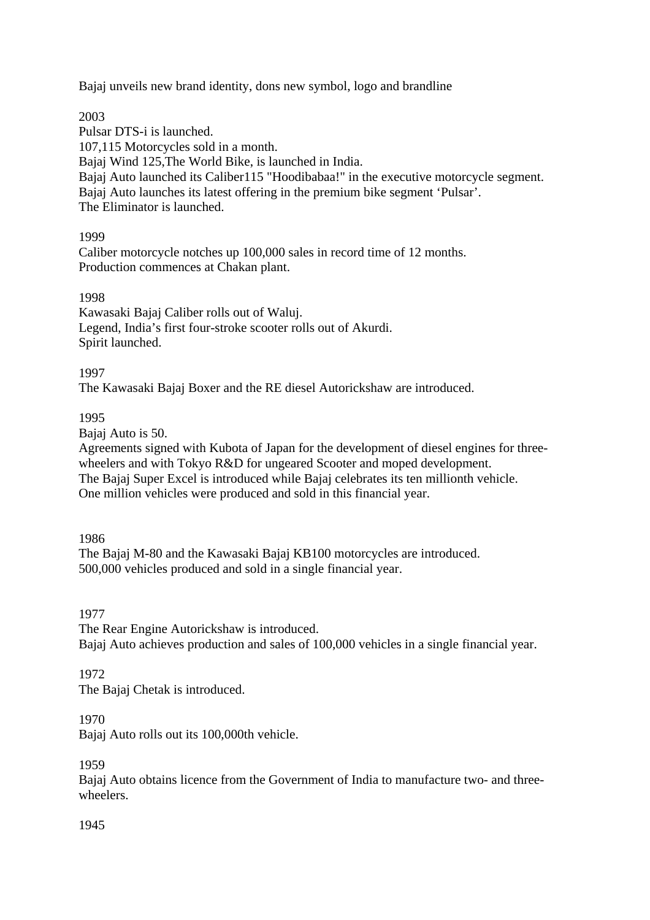Bajaj unveils new brand identity, dons new symbol, logo and brandline

2003

Pulsar DTS-i is launched. 107,115 Motorcycles sold in a month. Bajaj Wind 125,The World Bike, is launched in India. Bajaj Auto launched its Caliber115 "Hoodibabaa!" in the executive motorcycle segment. Bajaj Auto launches its latest offering in the premium bike segment 'Pulsar'. The Eliminator is launched.

1999

Caliber motorcycle notches up 100,000 sales in record time of 12 months. Production commences at Chakan plant.

1998

Kawasaki Bajaj Caliber rolls out of Waluj. Legend, India's first four-stroke scooter rolls out of Akurdi. Spirit launched.

1997

The Kawasaki Bajaj Boxer and the RE diesel Autorickshaw are introduced.

1995

Bajaj Auto is 50.

Agreements signed with Kubota of Japan for the development of diesel engines for threewheelers and with Tokyo R&D for ungeared Scooter and moped development. The Bajaj Super Excel is introduced while Bajaj celebrates its ten millionth vehicle. One million vehicles were produced and sold in this financial year.

1986

The Bajaj M-80 and the Kawasaki Bajaj KB100 motorcycles are introduced. 500,000 vehicles produced and sold in a single financial year.

1977

The Rear Engine Autorickshaw is introduced. Bajaj Auto achieves production and sales of 100,000 vehicles in a single financial year.

1972

The Bajaj Chetak is introduced.

1970

Bajaj Auto rolls out its 100,000th vehicle.

1959

Bajaj Auto obtains licence from the Government of India to manufacture two- and threewheelers.

1945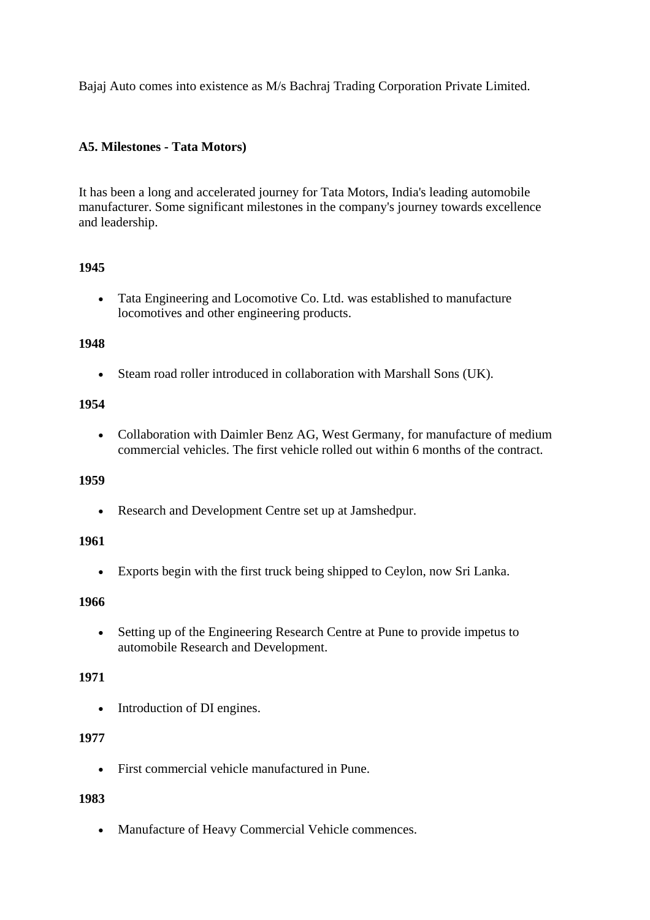Bajaj Auto comes into existence as M/s Bachraj Trading Corporation Private Limited.

#### **A5. Milestones - Tata Motors)**

It has been a long and accelerated journey for Tata Motors, India's leading automobile manufacturer. Some significant milestones in the company's journey towards excellence and leadership.

#### **1945**

• Tata Engineering and Locomotive Co. Ltd. was established to manufacture locomotives and other engineering products.

#### **1948**

• Steam road roller introduced in collaboration with Marshall Sons (UK).

#### **1954**

• Collaboration with Daimler Benz AG, West Germany, for manufacture of medium commercial vehicles. The first vehicle rolled out within 6 months of the contract.

#### **1959**

• Research and Development Centre set up at Jamshedpur.

#### **1961**

• Exports begin with the first truck being shipped to Ceylon, now Sri Lanka.

#### **1966**

• Setting up of the Engineering Research Centre at Pune to provide impetus to automobile Research and Development.

### **1971**

• Introduction of DI engines.

### **1977**

• First commercial vehicle manufactured in Pune.

#### **1983**

• Manufacture of Heavy Commercial Vehicle commences.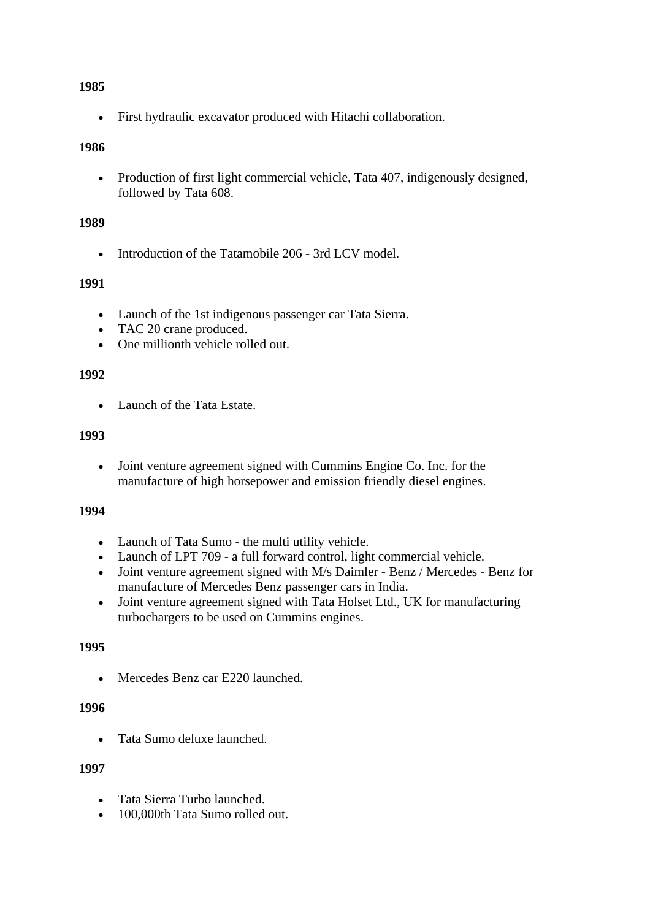#### **1985**

• First hydraulic excavator produced with Hitachi collaboration.

#### **1986**

• Production of first light commercial vehicle, Tata 407, indigenously designed, followed by Tata 608.

#### **1989**

• Introduction of the Tatamobile 206 - 3rd LCV model.

#### **1991**

- Launch of the 1st indigenous passenger car Tata Sierra.
- TAC 20 crane produced.
- One millionth vehicle rolled out.

#### **1992**

• Launch of the Tata Estate.

#### **1993**

• Joint venture agreement signed with Cummins Engine Co. Inc. for the manufacture of high horsepower and emission friendly diesel engines.

#### **1994**

- Launch of Tata Sumo the multi utility vehicle.
- Launch of LPT 709 a full forward control, light commercial vehicle.
- Joint venture agreement signed with M/s Daimler Benz / Mercedes Benz for manufacture of Mercedes Benz passenger cars in India.
- Joint venture agreement signed with Tata Holset Ltd., UK for manufacturing turbochargers to be used on Cummins engines.

#### **1995**

• Mercedes Benz car E220 launched.

#### **1996**

• Tata Sumo deluxe launched.

#### **1997**

- Tata Sierra Turbo launched.
- 100,000th Tata Sumo rolled out.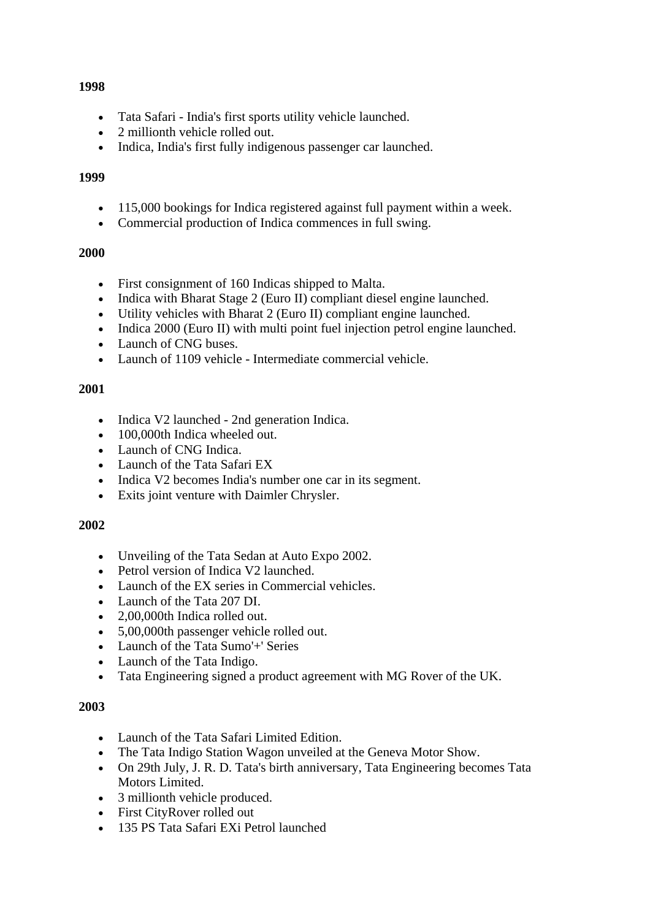#### **1998**

- Tata Safari India's first sports utility vehicle launched.
- 2 millionth vehicle rolled out.
- Indica, India's first fully indigenous passenger car launched.

#### **1999**

- 115,000 bookings for Indica registered against full payment within a week.
- Commercial production of Indica commences in full swing.

### **2000**

- First consignment of 160 Indicas shipped to Malta.
- Indica with Bharat Stage 2 (Euro II) compliant diesel engine launched.
- Utility vehicles with Bharat 2 (Euro II) compliant engine launched.
- Indica 2000 (Euro II) with multi point fuel injection petrol engine launched.
- Launch of CNG buses.
- Launch of 1109 vehicle Intermediate commercial vehicle.

### **2001**

- Indica V2 launched 2nd generation Indica.
- 100,000th Indica wheeled out.
- Launch of CNG Indica.
- Launch of the Tata Safari EX
- Indica V2 becomes India's number one car in its segment.
- Exits joint venture with Daimler Chrysler.

### **2002**

- Unveiling of the Tata Sedan at Auto Expo 2002.
- Petrol version of Indica V2 launched.
- Launch of the EX series in Commercial vehicles.
- Launch of the Tata 207 DI.
- 2,00,000th Indica rolled out.
- 5,00,000th passenger vehicle rolled out.
- Launch of the Tata Sumo'+' Series
- Launch of the Tata Indigo.
- Tata Engineering signed a product agreement with MG Rover of the UK.

### **2003**

- Launch of the Tata Safari Limited Edition.
- The Tata Indigo Station Wagon unveiled at the Geneva Motor Show.
- On 29th July, J. R. D. Tata's birth anniversary, Tata Engineering becomes Tata Motors Limited.
- 3 millionth vehicle produced.
- First CityRover rolled out
- 135 PS Tata Safari EXi Petrol launched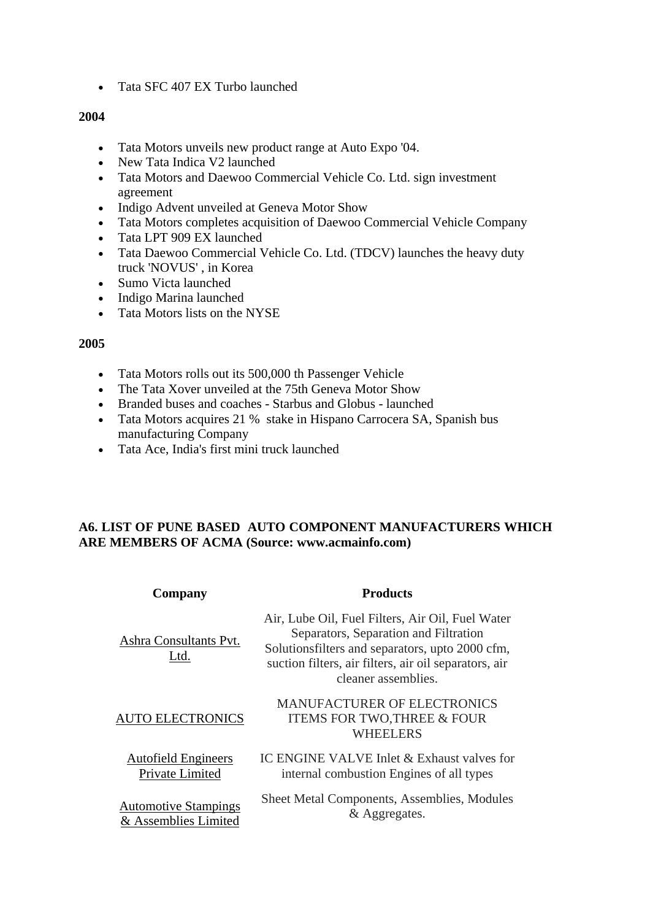• Tata SFC 407 EX Turbo launched

#### **2004**

- Tata Motors unveils new product range at Auto Expo '04.
- New Tata Indica V2 launched
- Tata Motors and Daewoo Commercial Vehicle Co. Ltd. sign investment agreement
- Indigo Advent unveiled at Geneva Motor Show
- Tata Motors completes acquisition of Daewoo Commercial Vehicle Company
- Tata LPT 909 EX launched
- Tata Daewoo Commercial Vehicle Co. Ltd. (TDCV) launches the heavy duty truck 'NOVUS' , in Korea
- Sumo Victa launched
- Indigo Marina launched
- Tata Motors lists on the NYSE

#### **2005**

- Tata Motors rolls out its 500,000 th Passenger Vehicle
- The Tata Xover unveiled at the 75th Geneva Motor Show
- Branded buses and coaches Starbus and Globus launched
- Tata Motors acquires 21 % stake in Hispano Carrocera SA, Spanish bus manufacturing Company
- Tata Ace, India's first mini truck launched

### **A6. LIST OF PUNE BASED AUTO COMPONENT MANUFACTURERS WHICH ARE MEMBERS OF ACMA (Source: www.acmainfo.com)**

| Company                                             | <b>Products</b>                                                                                                                                                                                                               |
|-----------------------------------------------------|-------------------------------------------------------------------------------------------------------------------------------------------------------------------------------------------------------------------------------|
| Ashra Consultants Pvt.<br>Ltd.                      | Air, Lube Oil, Fuel Filters, Air Oil, Fuel Water<br>Separators, Separation and Filtration<br>Solutions filters and separators, upto 2000 cfm,<br>suction filters, air filters, air oil separators, air<br>cleaner assemblies. |
| <b>AUTO ELECTRONICS</b>                             | <b>MANUFACTURER OF ELECTRONICS</b><br><b>ITEMS FOR TWO, THREE &amp; FOUR</b><br>WHEELERS                                                                                                                                      |
| <b>Autofield Engineers</b><br>Private Limited       | IC ENGINE VALVE Inlet & Exhaust valves for<br>internal combustion Engines of all types                                                                                                                                        |
| <b>Automotive Stampings</b><br>& Assemblies Limited | Sheet Metal Components, Assemblies, Modules<br>& Aggregates.                                                                                                                                                                  |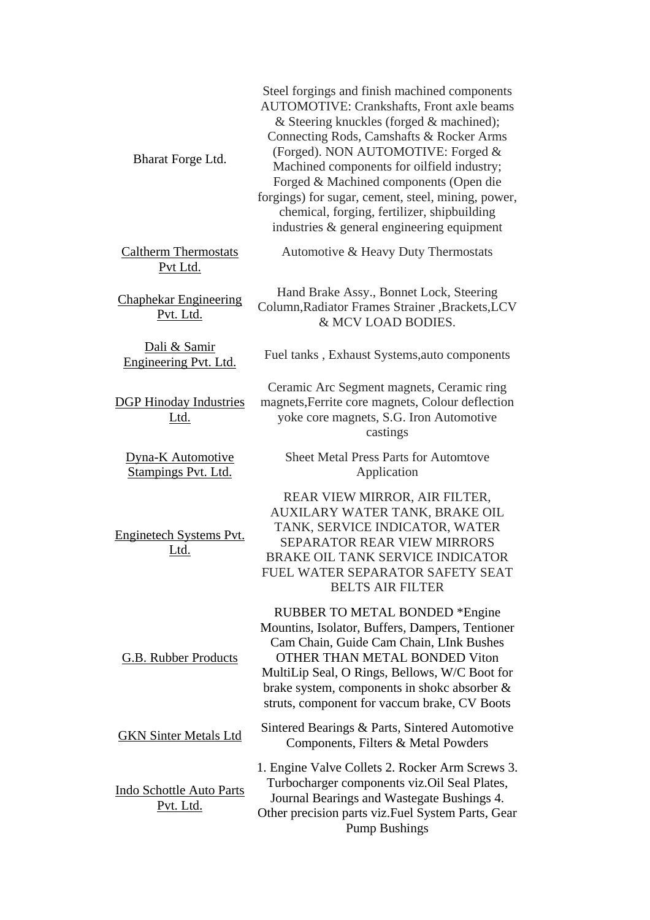| Bharat Forge Ltd.                            | Steel forgings and finish machined components<br><b>AUTOMOTIVE: Crankshafts, Front axle beams</b><br>& Steering knuckles (forged & machined);<br>Connecting Rods, Camshafts & Rocker Arms<br>(Forged). NON AUTOMOTIVE: Forged &<br>Machined components for oilfield industry;<br>Forged & Machined components (Open die<br>forgings) for sugar, cement, steel, mining, power,<br>chemical, forging, fertilizer, shipbuilding<br>industries & general engineering equipment |
|----------------------------------------------|----------------------------------------------------------------------------------------------------------------------------------------------------------------------------------------------------------------------------------------------------------------------------------------------------------------------------------------------------------------------------------------------------------------------------------------------------------------------------|
| <b>Caltherm Thermostats</b><br>Pvt Ltd.      | Automotive & Heavy Duty Thermostats                                                                                                                                                                                                                                                                                                                                                                                                                                        |
| <b>Chaphekar Engineering</b><br>Pvt. Ltd.    | Hand Brake Assy., Bonnet Lock, Steering<br>Column, Radiator Frames Strainer, Brackets, LCV<br>& MCV LOAD BODIES.                                                                                                                                                                                                                                                                                                                                                           |
| Dali & Samir<br>Engineering Pvt. Ltd.        | Fuel tanks, Exhaust Systems, auto components                                                                                                                                                                                                                                                                                                                                                                                                                               |
| <b>DGP Hinoday Industries</b><br>Ltd.        | Ceramic Arc Segment magnets, Ceramic ring<br>magnets, Ferrite core magnets, Colour deflection<br>yoke core magnets, S.G. Iron Automotive<br>castings                                                                                                                                                                                                                                                                                                                       |
| Dyna-K Automotive<br>Stampings Pvt. Ltd.     | <b>Sheet Metal Press Parts for Automtove</b><br>Application                                                                                                                                                                                                                                                                                                                                                                                                                |
| Enginetech Systems Pvt.<br><u>Ltd.</u>       | REAR VIEW MIRROR, AIR FILTER,<br>AUXILARY WATER TANK, BRAKE OIL<br>TANK, SERVICE INDICATOR, WATER<br><b>SEPARATOR REAR VIEW MIRRORS</b><br>BRAKE OIL TANK SERVICE INDICATOR<br>FUEL WATER SEPARATOR SAFETY SEAT<br><b>BELTS AIR FILTER</b>                                                                                                                                                                                                                                 |
| <b>G.B. Rubber Products</b>                  | RUBBER TO METAL BONDED *Engine<br>Mountins, Isolator, Buffers, Dampers, Tentioner<br>Cam Chain, Guide Cam Chain, LInk Bushes<br>OTHER THAN METAL BONDED Viton<br>MultiLip Seal, O Rings, Bellows, W/C Boot for<br>brake system, components in shoke absorber &<br>struts, component for vaccum brake, CV Boots                                                                                                                                                             |
| <b>GKN Sinter Metals Ltd</b>                 | Sintered Bearings & Parts, Sintered Automotive<br>Components, Filters & Metal Powders                                                                                                                                                                                                                                                                                                                                                                                      |
| <b>Indo Schottle Auto Parts</b><br>Pvt. Ltd. | 1. Engine Valve Collets 2. Rocker Arm Screws 3.<br>Turbocharger components viz. Oil Seal Plates,<br>Journal Bearings and Wastegate Bushings 4.<br>Other precision parts viz. Fuel System Parts, Gear<br><b>Pump Bushings</b>                                                                                                                                                                                                                                               |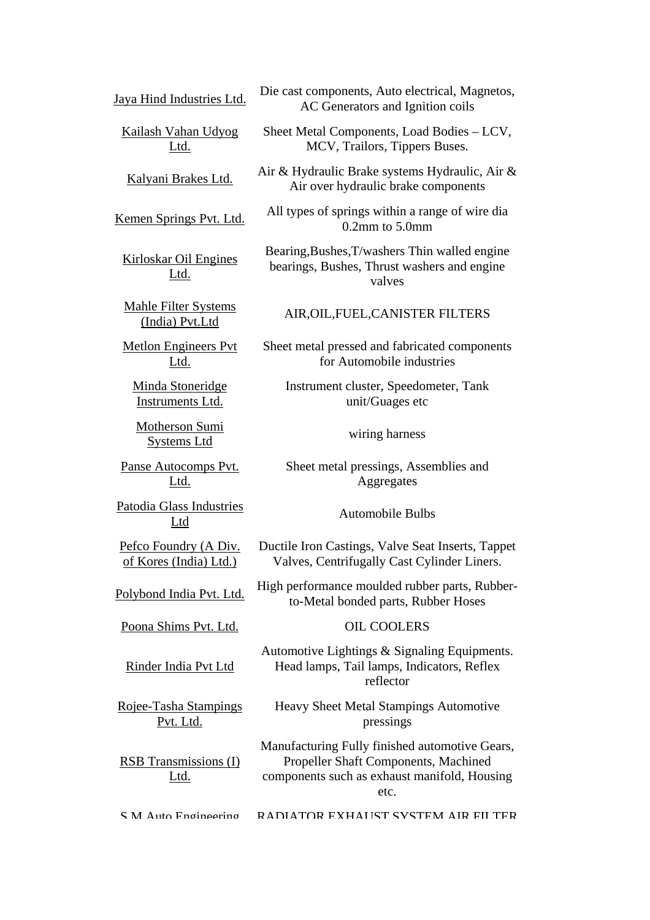| Jaya Hind Industries Ltd.                       | Die cast components, Auto electrical, Magnetos,<br>AC Generators and Ignition coils                                                            |
|-------------------------------------------------|------------------------------------------------------------------------------------------------------------------------------------------------|
| <b>Kailash Vahan Udyog</b><br>Ltd.              | Sheet Metal Components, Load Bodies - LCV,<br>MCV, Trailors, Tippers Buses.                                                                    |
| Kalyani Brakes Ltd.                             | Air & Hydraulic Brake systems Hydraulic, Air &<br>Air over hydraulic brake components                                                          |
| Kemen Springs Pvt. Ltd.                         | All types of springs within a range of wire dia<br>$0.2$ mm to $5.0$ mm                                                                        |
| <b>Kirloskar Oil Engines</b><br>Ltd.            | Bearing, Bushes, T/washers Thin walled engine<br>bearings, Bushes, Thrust washers and engine<br>valves                                         |
| <b>Mahle Filter Systems</b><br>(India) Pvt.Ltd  | AIR, OIL, FUEL, CANISTER FILTERS                                                                                                               |
| <b>Metlon Engineers Pvt</b><br><u>Ltd.</u>      | Sheet metal pressed and fabricated components<br>for Automobile industries                                                                     |
| Minda Stoneridge<br><b>Instruments Ltd.</b>     | Instrument cluster, Speedometer, Tank<br>unit/Guages etc                                                                                       |
| Motherson Sumi<br><b>Systems Ltd</b>            | wiring harness                                                                                                                                 |
| Panse Autocomps Pvt.<br>Ltd.                    | Sheet metal pressings, Assemblies and<br>Aggregates                                                                                            |
| Patodia Glass Industries<br>Ltd                 | <b>Automobile Bulbs</b>                                                                                                                        |
| Pefco Foundry (A Div.<br>of Kores (India) Ltd.) | Ductile Iron Castings, Valve Seat Inserts, Tappet<br>Valves, Centrifugally Cast Cylinder Liners.                                               |
| Polybond India Pvt. Ltd.                        | High performance moulded rubber parts, Rubber-<br>to-Metal bonded parts, Rubber Hoses                                                          |
| Poona Shims Pvt. Ltd.                           | <b>OIL COOLERS</b>                                                                                                                             |
| Rinder India Pvt Ltd                            | Automotive Lightings & Signaling Equipments.<br>Head lamps, Tail lamps, Indicators, Reflex<br>reflector                                        |
| Rojee-Tasha Stampings<br>Pvt. Ltd.              | <b>Heavy Sheet Metal Stampings Automotive</b><br>pressings                                                                                     |
| <b>RSB</b> Transmissions (I)<br>Ltd.            | Manufacturing Fully finished automotive Gears,<br>Propeller Shaft Components, Machined<br>components such as exhaust manifold, Housing<br>etc. |
| S M Auto Engineering                            | RADIATOR EXHAUST SYSTEM AIR FILTER                                                                                                             |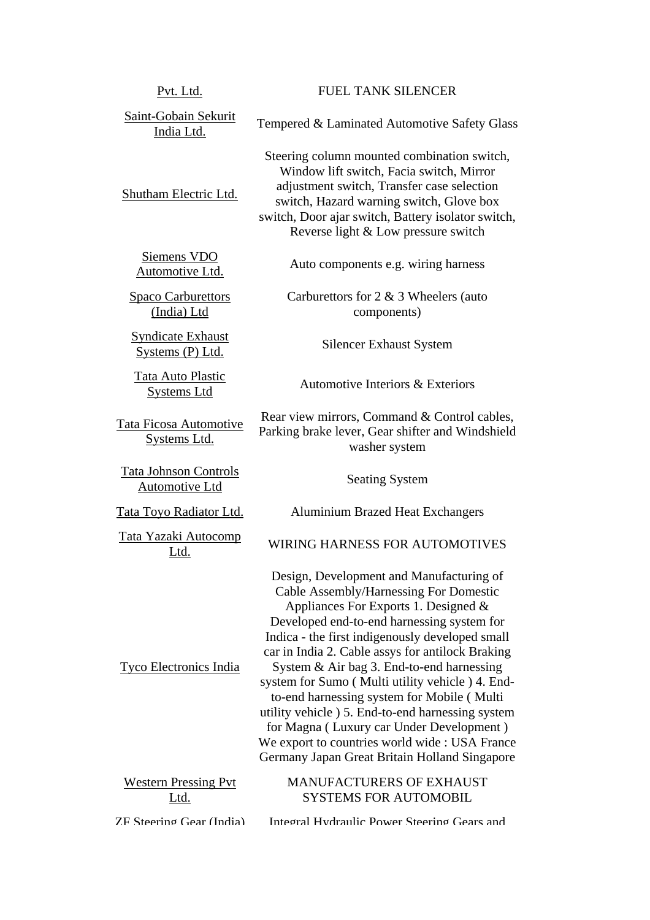| <u>Pvt. Ltd.</u>                                      | <b>FUEL TANK SILENCER</b>                                                                                                                                                                                                                                                                                                                                                                                                                                                                                                                                                                                                               |
|-------------------------------------------------------|-----------------------------------------------------------------------------------------------------------------------------------------------------------------------------------------------------------------------------------------------------------------------------------------------------------------------------------------------------------------------------------------------------------------------------------------------------------------------------------------------------------------------------------------------------------------------------------------------------------------------------------------|
| Saint-Gobain Sekurit<br>India Ltd.                    | Tempered & Laminated Automotive Safety Glass                                                                                                                                                                                                                                                                                                                                                                                                                                                                                                                                                                                            |
| Shutham Electric Ltd.                                 | Steering column mounted combination switch,<br>Window lift switch, Facia switch, Mirror<br>adjustment switch, Transfer case selection<br>switch, Hazard warning switch, Glove box<br>switch, Door ajar switch, Battery isolator switch,<br>Reverse light & Low pressure switch                                                                                                                                                                                                                                                                                                                                                          |
| <b>Siemens VDO</b><br>Automotive Ltd.                 | Auto components e.g. wiring harness                                                                                                                                                                                                                                                                                                                                                                                                                                                                                                                                                                                                     |
| <b>Spaco Carburettors</b><br>(India) Ltd              | Carburettors for $2 \& 3$ Wheelers (auto<br>components)                                                                                                                                                                                                                                                                                                                                                                                                                                                                                                                                                                                 |
| <b>Syndicate Exhaust</b><br>Systems (P) Ltd.          | <b>Silencer Exhaust System</b>                                                                                                                                                                                                                                                                                                                                                                                                                                                                                                                                                                                                          |
| <b>Tata Auto Plastic</b><br><b>Systems Ltd</b>        | Automotive Interiors & Exteriors                                                                                                                                                                                                                                                                                                                                                                                                                                                                                                                                                                                                        |
| <b>Tata Ficosa Automotive</b><br><b>Systems Ltd.</b>  | Rear view mirrors, Command & Control cables,<br>Parking brake lever, Gear shifter and Windshield<br>washer system                                                                                                                                                                                                                                                                                                                                                                                                                                                                                                                       |
|                                                       |                                                                                                                                                                                                                                                                                                                                                                                                                                                                                                                                                                                                                                         |
| <b>Tata Johnson Controls</b><br><b>Automotive Ltd</b> | <b>Seating System</b>                                                                                                                                                                                                                                                                                                                                                                                                                                                                                                                                                                                                                   |
| Tata Toyo Radiator Ltd.                               | <b>Aluminium Brazed Heat Exchangers</b>                                                                                                                                                                                                                                                                                                                                                                                                                                                                                                                                                                                                 |
| <b>Tata Yazaki Autocomp</b><br>Ltd.                   | <b>WIRING HARNESS FOR AUTOMOTIVES</b>                                                                                                                                                                                                                                                                                                                                                                                                                                                                                                                                                                                                   |
| <b>Tyco Electronics India</b>                         | Design, Development and Manufacturing of<br><b>Cable Assembly/Harnessing For Domestic</b><br>Appliances For Exports 1. Designed &<br>Developed end-to-end harnessing system for<br>Indica - the first indigenously developed small<br>car in India 2. Cable assys for antilock Braking<br>System & Air bag 3. End-to-end harnessing<br>system for Sumo (Multi utility vehicle) 4. End-<br>to-end harnessing system for Mobile (Multi<br>utility vehicle ) 5. End-to-end harnessing system<br>for Magna (Luxury car Under Development)<br>We export to countries world wide: USA France<br>Germany Japan Great Britain Holland Singapore |
| <b>Western Pressing Pvt</b><br><u>Ltd.</u>            | MANUFACTURERS OF EXHAUST<br><b>SYSTEMS FOR AUTOMOBIL</b>                                                                                                                                                                                                                                                                                                                                                                                                                                                                                                                                                                                |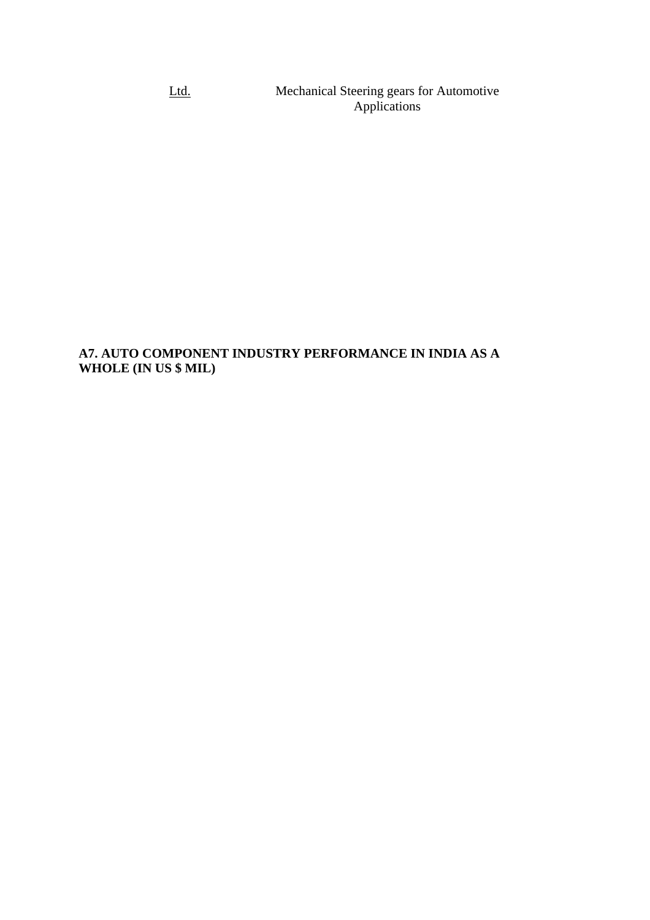Ltd. Mechanical Steering gears for Automotive Applications

# **A7. AUTO COMPONENT INDUSTRY PERFORMANCE IN INDIA AS A WHOLE (IN US \$ MIL)**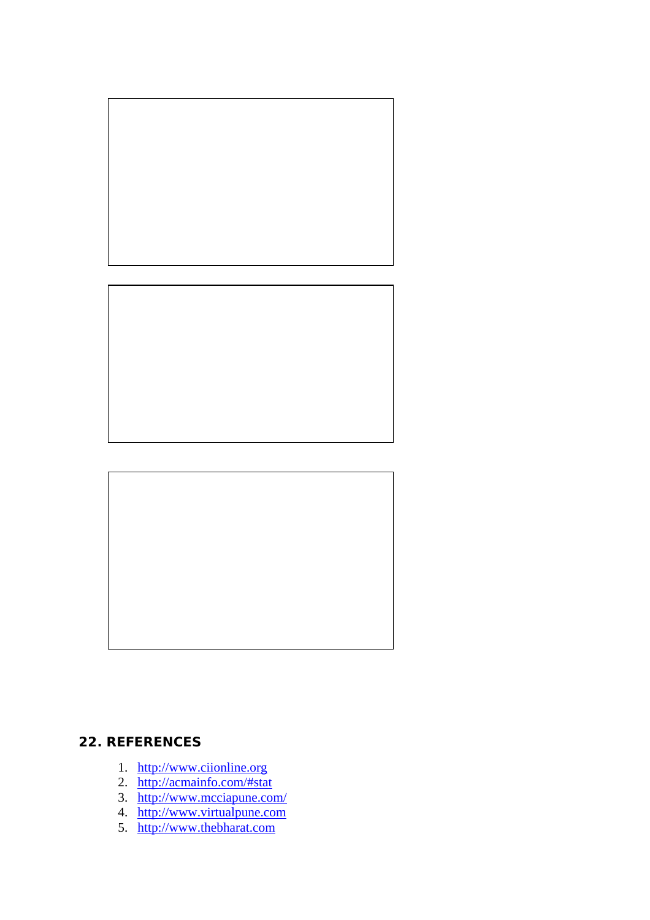



# **22. REFERENCES**

- 1. http://www.ciionline.org
- 2. http://acmainfo.com/#stat
- 3. http://www.mcciapune.com/
- 4. http://www.virtualpune.com<br>5. http://www.thebharat.com
-